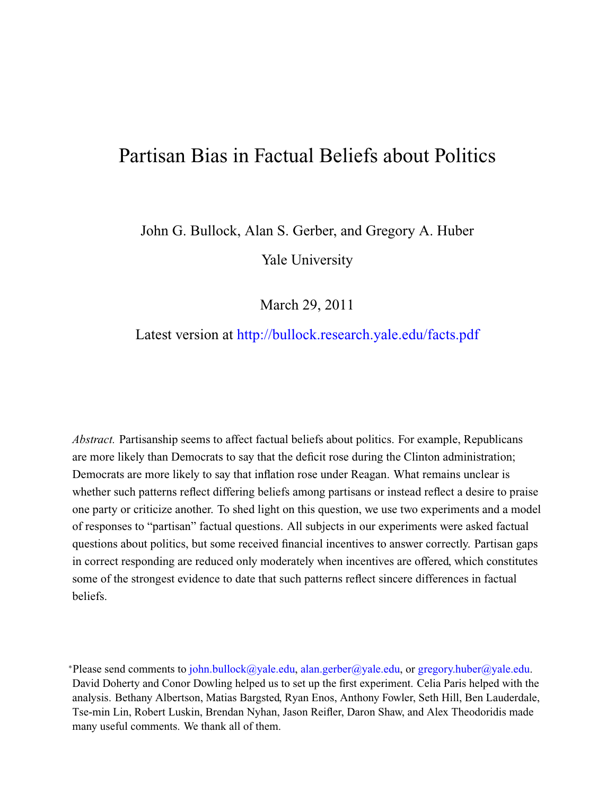# <span id="page-0-0"></span>Partisan Bias in Factual Beliefs about Politics

John G. Bullock, Alan S. Gerber, and Gregory A. Huber Yale University

March 29, 2011

# Latest version at <http://bullock.research.yale.edu/facts.pdf>

*Abstract.* Partisanship seems to affect factual beliefs about politics. For example, Republicans are more likely than Democrats to say that the deficit rose during the Clinton administration; Democrats are more likely to say that inflation rose under Reagan. What remains unclear is whether such patterns reflect differing beliefs among partisans or instead reflect a desire to praise one party or criticize another. To shed light on this question, we use two experiments and a model of responses to "partisan" factual questions. All subjects in our experiments were asked factual questions about politics, but some received financial incentives to answer correctly. Partisan gaps in correct responding are reduced only moderately when incentives are offered, which constitutes some of the strongest evidence to date that such patterns reflect sincere differences in factual beliefs.

<sup>∗</sup>Please send comments to [john.bullock@yale.edu,](mailto:john.bullock@yale.edu) [alan.gerber@yale.edu,](mailto:alan.gerber@yale.edu) or [gregory.huber@yale.edu.](mailto:gregory.huber@yale.edu) David Doherty and Conor Dowling helped us to set up the first experiment. Celia Paris helped with the analysis. Bethany Albertson, Matias Bargsted, Ryan Enos, Anthony Fowler, Seth Hill, Ben Lauderdale, Tse-min Lin, Robert Luskin, Brendan Nyhan, Jason Reifler, Daron Shaw, and Alex Theodoridis made many useful comments. We thank all of them.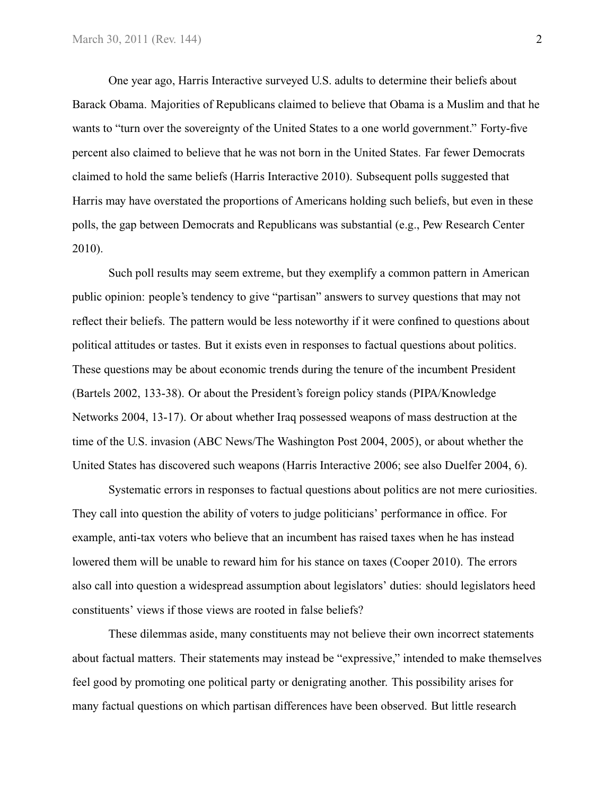One year ago, Harris Interactive surveyed U.S. adults to determine their beliefs about Barack Obama. Majorities of Republicans claimed to believe that Obama is a Muslim and that he wants to "turn over the sovereignty of the United States to a one world government." Forty-five percent also claimed to believe that he was not born in the United States. Far fewer Democrats claimed to hold the same beliefs [\(Harris Interactive](#page-27-0) 2010). Subsequent polls suggested that Harris may have overstated the proportions of Americans holding such beliefs, but even in these polls, the gap between Democrats and Republicans was substantial (e.g., Pew Research Center [2010\)](#page-27-1).

Such poll results may seem extreme, but they exemplify a common pattern in American public opinion: people's tendency to give "partisan" answers to survey questions that may not reflect their beliefs. The pattern would be less noteworthy if it were confined to questions about political attitudes or tastes. But it exists even in responses to factual questions about politics. These questions may be about economic trends during the tenure of the incumbent President [\(Bartels](#page-26-0) [2002,](#page-26-0) 133-38). Or about the President's foreign policy stands [\(PIPA/Knowledge](#page-27-2) [Networks](#page-27-2) [2004,](#page-27-2) 13-17). Or about whether Iraq possessed weapons of mass destruction at the time of the U.S. invasion [\(ABC News/The Washington Post](#page-26-1) [2004,](#page-26-1) [2005\)](#page-26-2), or about whether the United States has discovered such weapons [\(Harris Interactive](#page-26-3) 2006; see also [Duelfer](#page-26-4) [2004,](#page-26-4) 6).

Systematic errors in responses to factual questions about politics are not mere curiosities. They call into question the ability of voters to judge politicians' performance in office. For example, anti-tax voters who believe that an incumbent has raised taxes when he has instead lowered them will be unable to reward him for his stance on taxes [\(Cooper](#page-26-5) 2010). The errors also call into question a widespread assumption about legislators' duties: should legislators heed constituents' views if those views are rooted in false beliefs?

These dilemmas aside, many constituents may not believe their own incorrect statements about factual matters. Their statements may instead be "expressive," intended to make themselves feel good by promoting one political party or denigrating another. This possibility arises for many factual questions on which partisan differences have been observed. But little research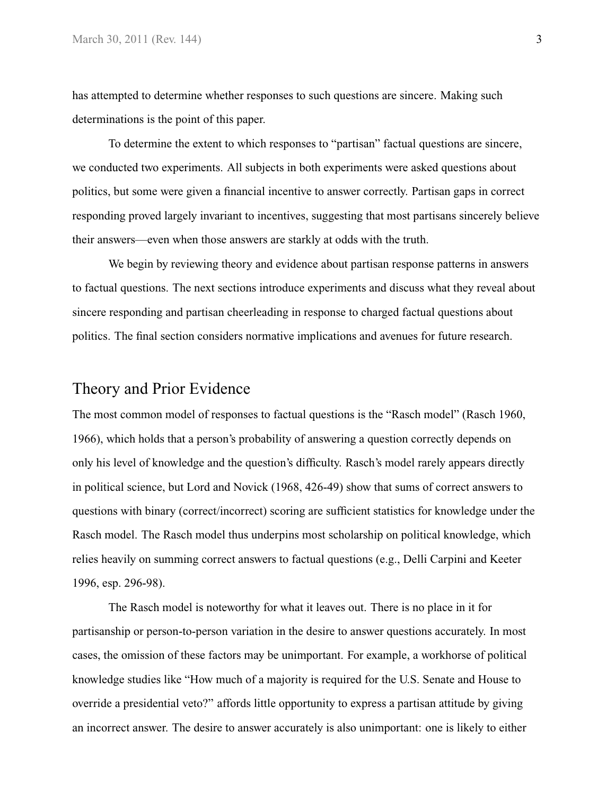has attempted to determine whether responses to such questions are sincere. Making such determinations is the point of this paper.

To determine the extent to which responses to "partisan" factual questions are sincere, we conducted two experiments. All subjects in both experiments were asked questions about politics, but some were given a financial incentive to answer correctly. Partisan gaps in correct responding proved largely invariant to incentives, suggesting that most partisans sincerely believe their answers—even when those answers are starkly at odds with the truth.

We begin by reviewing theory and evidence about partisan response patterns in answers to factual questions. The next sections introduce experiments and discuss what they reveal about sincere responding and partisan cheerleading in response to charged factual questions about politics. The final section considers normative implications and avenues for future research.

# Theory and Prior Evidence

The most common model of responses to factual questions is the "Rasch model" [\(Rasch](#page-28-0) [1960,](#page-28-0) [1966\)](#page-28-1), which holds that a person's probability of answering a question correctly depends on only his level of knowledge and the question's difficulty. Rasch's model rarely appears directly in political science, but [Lord and Novick](#page-27-3) [\(1968,](#page-27-3) 426-49) show that sums of correct answers to questions with binary (correct/incorrect) scoring are sufficient statistics for knowledge under the Rasch model. The Rasch model thus underpins most scholarship on political knowledge, which relies heavily on summing correct answers to factual questions (e.g., [Delli Carpini and Keeter](#page-26-6) [1996,](#page-26-6) esp. 296-98).

The Rasch model is noteworthy for what it leaves out. There is no place in it for partisanship or person-to-person variation in the desire to answer questions accurately. In most cases, the omission of these factors may be unimportant. For example, a workhorse of political knowledge studies like "How much of a majority is required for the U.S. Senate and House to override a presidential veto?" affords little opportunity to express a partisan attitude by giving an incorrect answer. The desire to answer accurately is also unimportant: one is likely to either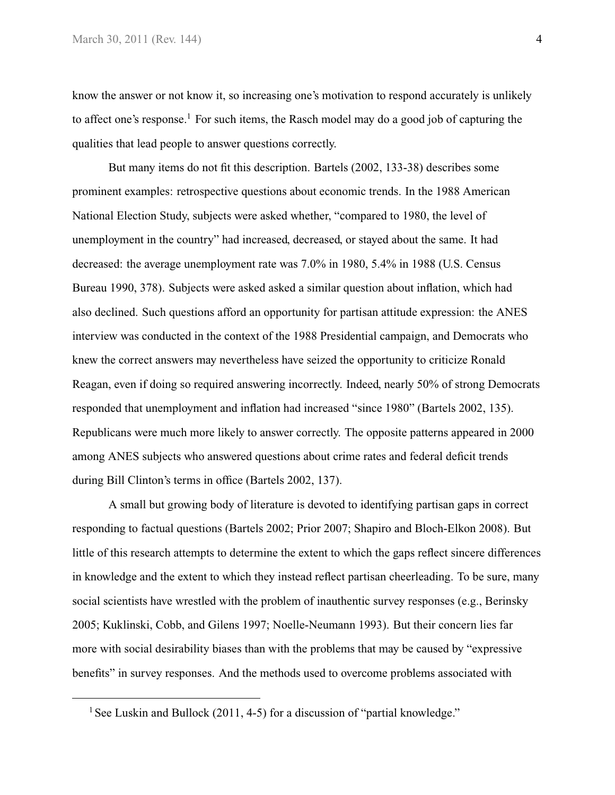know the answer or not know it, so increasing one's motivation to respond accurately is unlikely to affect one's response.<sup>1</sup> For such items, the Rasch model may do a good job of capturing the qualities that lead people to answer questions correctly.

But many items do not fit this description. [Bartels](#page-26-0) [\(2002,](#page-26-0) 133-38) describes some prominent examples: retrospective questions about economic trends. In the 1988 American National Election Study, subjects were asked whether, "compared to 1980, the level of unemployment in the country" had increased, decreased, or stayed about the same. It had decreased: the average unemployment rate was 7.0% in 1980, 5.4% in 1988 [\(U.S. Census](#page-28-2) [Bureau](#page-28-2) [1990,](#page-28-2) 378). Subjects were asked asked a similar question about inflation, which had also declined. Such questions afford an opportunity for partisan attitude expression: the ANES interview was conducted in the context of the 1988 Presidential campaign, and Democrats who knew the correct answers may nevertheless have seized the opportunity to criticize Ronald Reagan, even if doing so required answering incorrectly. Indeed, nearly 50% of strong Democrats responded that unemployment and inflation had increased "since 1980" [\(Bartels](#page-26-0) [2002,](#page-26-0) 135). Republicans were much more likely to answer correctly. The opposite patterns appeared in 2000 among ANES subjects who answered questions about crime rates and federal deficit trends during Bill Clinton's terms in office [\(Bartels](#page-26-0) [2002,](#page-26-0) 137).

A small but growing body of literature is devoted to identifying partisan gaps in correct responding to factual questions [\(Bartels](#page-26-0) [2002;](#page-26-0) [Prior](#page-27-4) [2007;](#page-27-4) [Shapiro and Bloch-Elkon](#page-28-3) [2008\)](#page-28-3). But little of this research attempts to determine the extent to which the gaps reflect sincere differences in knowledge and the extent to which they instead reflect partisan cheerleading. To be sure, many social scientists have wrestled with the problem of inauthentic survey responses (e.g., [Berinsky](#page-26-7) [2005;](#page-26-7) [Kuklinski, Cobb, and Gilens](#page-27-5) [1997;](#page-27-5) [Noelle-Neumann](#page-27-6) [1993\)](#page-27-6). But their concern lies far more with social desirability biases than with the problems that may be caused by "expressive benefits" in survey responses. And the methods used to overcome problems associated with

<sup>&</sup>lt;sup>1</sup> See [Luskin and Bullock](#page-27-7) [\(2011,](#page-27-7) 4-5) for a discussion of "partial knowledge."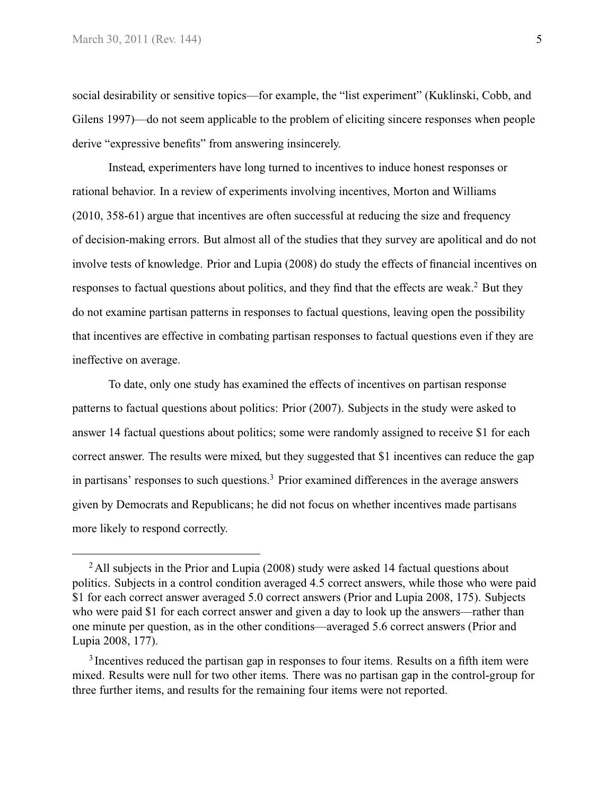social desirability or sensitive topics—for example, the "list experiment" [\(Kuklinski, Cobb, and](#page-27-5) [Gilens](#page-27-5) [1997\)](#page-27-5)—do not seem applicable to the problem of eliciting sincere responses when people derive "expressive benefits" from answering insincerely.

Instead, experimenters have long turned to incentives to induce honest responses or rational behavior. In a review of experiments involving incentives, [Morton and Williams](#page-27-8) [\(2010,](#page-27-8) 358-61) argue that incentives are often successful at reducing the size and frequency of decision-making errors. But almost all of the studies that they survey are apolitical and do not involve tests of knowledge. [Prior and Lupia](#page-28-4) [\(2008\)](#page-28-4) do study the effects of financial incentives on responses to factual questions about politics, and they find that the effects are weak.<sup>2</sup> But they do not examine partisan patterns in responses to factual questions, leaving open the possibility that incentives are effective in combating partisan responses to factual questions even if they are ineffective on average.

To date, only one study has examined the effects of incentives on partisan response patterns to factual questions about politics: [Prior](#page-27-4) [\(2007\)](#page-27-4). Subjects in the study were asked to answer 14 factual questions about politics; some were randomly assigned to receive \$1 for each correct answer. The results were mixed, but they suggested that \$1 incentives can reduce the gap in partisans' responses to such questions.<sup>3</sup> Prior examined differences in the average answers given by Democrats and Republicans; he did not focus on whether incentives made partisans more likely to respond correctly.

<sup>&</sup>lt;sup>2</sup> All subjects in the [Prior and Lupia](#page-28-4) [\(2008\)](#page-28-4) study were asked 14 factual questions about politics. Subjects in a control condition averaged 4.5 correct answers, while those who were paid \$1 for each correct answer averaged 5.0 correct answers [\(Prior and Lupia](#page-28-4) [2008,](#page-28-4) 175). Subjects who were paid \$1 for each correct answer and given a day to look up the answers—rather than one minute per question, as in the other conditions—averaged 5.6 correct answers [\(Prior and](#page-28-4) [Lupia](#page-28-4) [2008,](#page-28-4) 177).

<sup>&</sup>lt;sup>3</sup> Incentives reduced the partisan gap in responses to four items. Results on a fifth item were mixed. Results were null for two other items. There was no partisan gap in the control-group for three further items, and results for the remaining four items were not reported.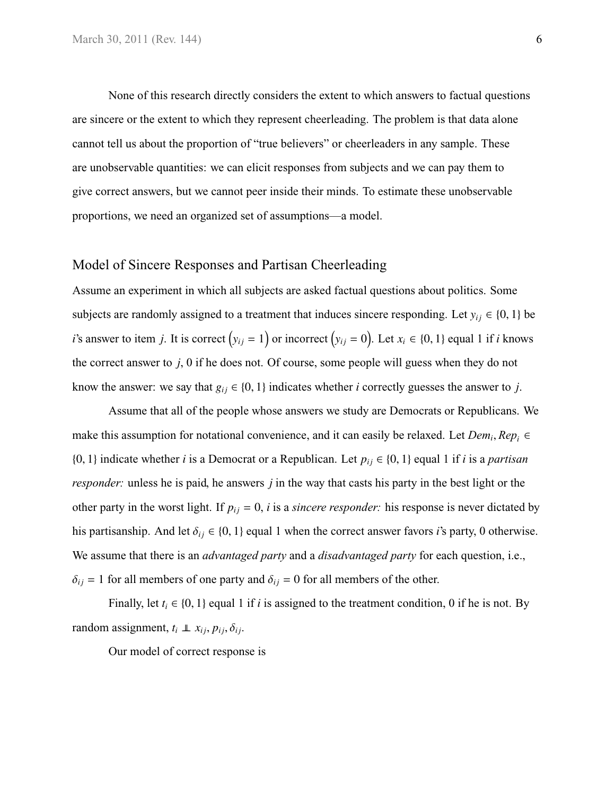None of this research directly considers the extent to which answers to factual questions are sincere or the extent to which they represent cheerleading. The problem is that data alone cannot tell us about the proportion of "true believers" or cheerleaders in any sample. These are unobservable quantities: we can elicit responses from subjects and we can pay them to give correct answers, but we cannot peer inside their minds. To estimate these unobservable proportions, we need an organized set of assumptions—a model.

#### Model of Sincere Responses and Partisan Cheerleading

Assume an experiment in which all subjects are asked factual questions about politics. Some subjects are randomly assigned to a treatment that induces sincere responding. Let  $y_{ij} \in \{0, 1\}$  be *i*'s answer to item *j*. It is correct  $(y_{ij} = 1)$  or incorrect  $(y_{ij} = 0)$ . Let  $x_i \in \{0, 1\}$  equal 1 if *i* knows the correct answer to *j*, 0 if he does not. Of course, some people will guess when they do not know the answer: we say that  $g_{ij} \in \{0, 1\}$  indicates whether *i* correctly guesses the answer to *j*.

Assume that all of the people whose answers we study are Democrats or Republicans. We make this assumption for notational convenience, and it can easily be relaxed. Let  $Dem_i, Rep_i \in$ {0, 1} indicate whether *i* is a Democrat or a Republican. Let  $p_{ij} \in \{0, 1\}$  equal 1 if *i* is a *partisan responder:* unless he is paid, he answers *j* in the way that casts his party in the best light or the other party in the worst light. If  $p_{ij} = 0$ , *i* is a *sincere responder*: his response is never dictated by his partisanship. And let  $\delta_{ij} \in \{0, 1\}$  equal 1 when the correct answer favors *i*'s party, 0 otherwise. We assume that there is an *advantaged party* and a *disadvantaged party* for each question, i.e.,  $\delta_{ij}$  = 1 for all members of one party and  $\delta_{ij}$  = 0 for all members of the other.

Finally, let  $t_i \in \{0, 1\}$  equal 1 if *i* is assigned to the treatment condition, 0 if he is not. By random assignment,  $t_i \perp x_{ij}, p_{ij}, \delta_{ij}$ .

Our model of correct response is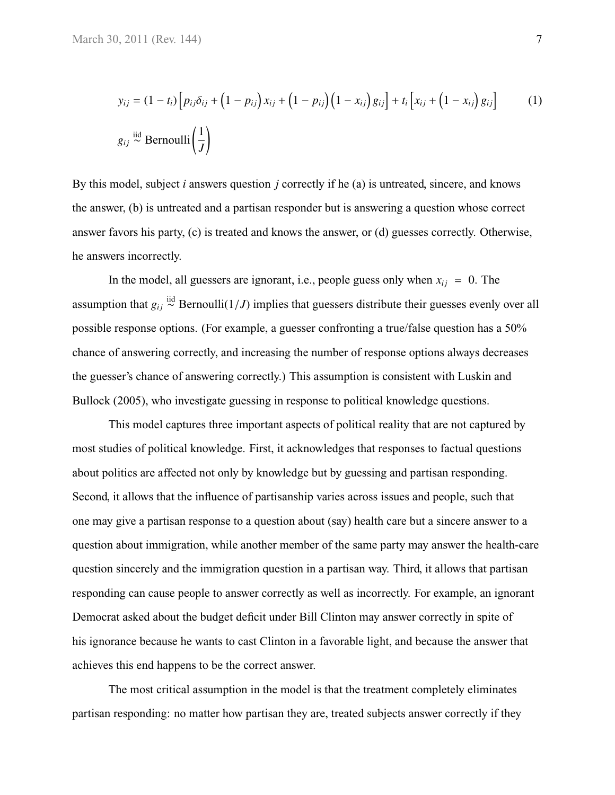$$
y_{ij} = (1 - t_i) \left[ p_{ij} \delta_{ij} + \left( 1 - p_{ij} \right) x_{ij} + \left( 1 - p_{ij} \right) \left( 1 - x_{ij} \right) g_{ij} \right] + t_i \left[ x_{ij} + \left( 1 - x_{ij} \right) g_{ij} \right]
$$
(1)  

$$
g_{ij} \stackrel{\text{iid}}{\sim} \text{Bernoulli} \left( \frac{1}{J} \right)
$$

By this model, subject *i* answers question *j* correctly if he (a) is untreated, sincere, and knows the answer, (b) is untreated and a partisan responder but is answering a question whose correct answer favors his party, (c) is treated and knows the answer, or (d) guesses correctly. Otherwise, he answers incorrectly.

In the model, all guessers are ignorant, i.e., people guess only when  $x_{ij} = 0$ . The assumption that  $g_{ij} \stackrel{\text{iid}}{\sim}$  Bernoulli(1/*J*) implies that guessers distribute their guesses evenly over all possible response options. (For example, a guesser confronting a true/false question has a 50% chance of answering correctly, and increasing the number of response options always decreases the guesser's chance of answering correctly.) This assumption is consistent with [Luskin and](#page-27-9) [Bullock](#page-27-9) [\(2005\)](#page-27-9), who investigate guessing in response to political knowledge questions.

This model captures three important aspects of political reality that are not captured by most studies of political knowledge. First, it acknowledges that responses to factual questions about politics are affected not only by knowledge but by guessing and partisan responding. Second, it allows that the influence of partisanship varies across issues and people, such that one may give a partisan response to a question about (say) health care but a sincere answer to a question about immigration, while another member of the same party may answer the health-care question sincerely and the immigration question in a partisan way. Third, it allows that partisan responding can cause people to answer correctly as well as incorrectly. For example, an ignorant Democrat asked about the budget deficit under Bill Clinton may answer correctly in spite of his ignorance because he wants to cast Clinton in a favorable light, and because the answer that achieves this end happens to be the correct answer.

The most critical assumption in the model is that the treatment completely eliminates partisan responding: no matter how partisan they are, treated subjects answer correctly if they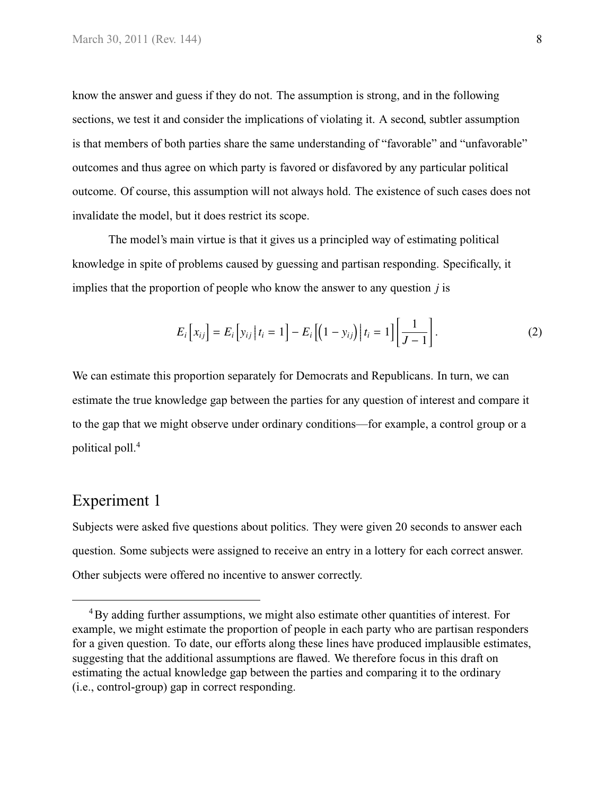know the answer and guess if they do not. The assumption is strong, and in the following sections, we test it and consider the implications of violating it. A second, subtler assumption is that members of both parties share the same understanding of "favorable" and "unfavorable" outcomes and thus agree on which party is favored or disfavored by any particular political outcome. Of course, this assumption will not always hold. The existence of such cases does not invalidate the model, but it does restrict its scope.

The model's main virtue is that it gives us a principled way of estimating political knowledge in spite of problems caused by guessing and partisan responding. Specifically, it implies that the proportion of people who know the answer to any question *j* is

<span id="page-7-0"></span>
$$
E_i\left[x_{ij}\right] = E_i\left[y_{ij}\,\middle|\,t_i = 1\right] - E_i\left[\left(1 - y_{ij}\right)\,\middle|\,t_i = 1\right]\left[\frac{1}{J - 1}\right].\tag{2}
$$

We can estimate this proportion separately for Democrats and Republicans. In turn, we can estimate the true knowledge gap between the parties for any question of interest and compare it to the gap that we might observe under ordinary conditions—for example, a control group or a political poll.<sup>4</sup>

# Experiment 1

Subjects were asked five questions about politics. They were given 20 seconds to answer each question. Some subjects were assigned to receive an entry in a lottery for each correct answer. Other subjects were offered no incentive to answer correctly.

<sup>&</sup>lt;sup>4</sup>By adding further assumptions, we might also estimate other quantities of interest. For example, we might estimate the proportion of people in each party who are partisan responders for a given question. To date, our efforts along these lines have produced implausible estimates, suggesting that the additional assumptions are flawed. We therefore focus in this draft on estimating the actual knowledge gap between the parties and comparing it to the ordinary (i.e., control-group) gap in correct responding.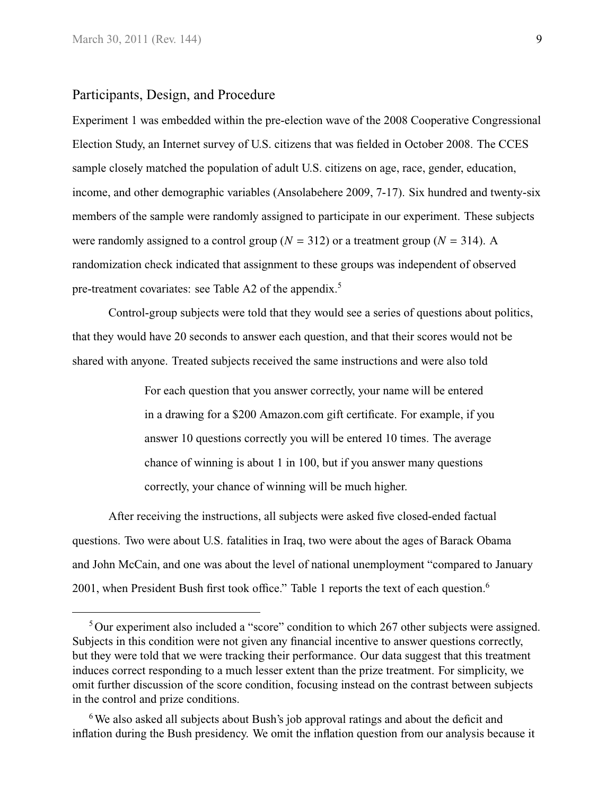### Participants, Design, and Procedure

Experiment 1 was embedded within the pre-election wave of the 2008 Cooperative Congressional Election Study, an Internet survey of U.S. citizens that was fielded in October 2008. The CCES sample closely matched the population of adult U.S. citizens on age, race, gender, education, income, and other demographic variables [\(Ansolabehere](#page-26-8) [2009,](#page-26-8) 7-17). Six hundred and twenty-six members of the sample were randomly assigned to participate in our experiment. These subjects were randomly assigned to a control group ( $N = 312$ ) or a treatment group ( $N = 314$ ). A randomization check indicated that assignment to these groups was independent of observed pre-treatment covariates: see [Table A2](#page-32-0) of the appendix.<sup>5</sup>

Control-group subjects were told that they would see a series of questions about politics, that they would have 20 seconds to answer each question, and that their scores would not be shared with anyone. Treated subjects received the same instructions and were also told

> For each question that you answer correctly, your name will be entered in a drawing for a \$200 Amazon.com gift certificate. For example, if you answer 10 questions correctly you will be entered 10 times. The average chance of winning is about 1 in 100, but if you answer many questions correctly, your chance of winning will be much higher.

After receiving the instructions, all subjects were asked five closed-ended factual questions. Two were about U.S. fatalities in Iraq, two were about the ages of Barack Obama and John McCain, and one was about the level of national unemployment "compared to January 2001, when President Bush first took office." [Table 1](#page-9-0) reports the text of each question.<sup>6</sup>

<sup>&</sup>lt;sup>5</sup>Our experiment also included a "score" condition to which 267 other subjects were assigned. Subjects in this condition were not given any financial incentive to answer questions correctly, but they were told that we were tracking their performance. Our data suggest that this treatment induces correct responding to a much lesser extent than the prize treatment. For simplicity, we omit further discussion of the score condition, focusing instead on the contrast between subjects in the control and prize conditions.

<sup>&</sup>lt;sup>6</sup>We also asked all subjects about Bush's job approval ratings and about the deficit and inflation during the Bush presidency. We omit the inflation question from our analysis because it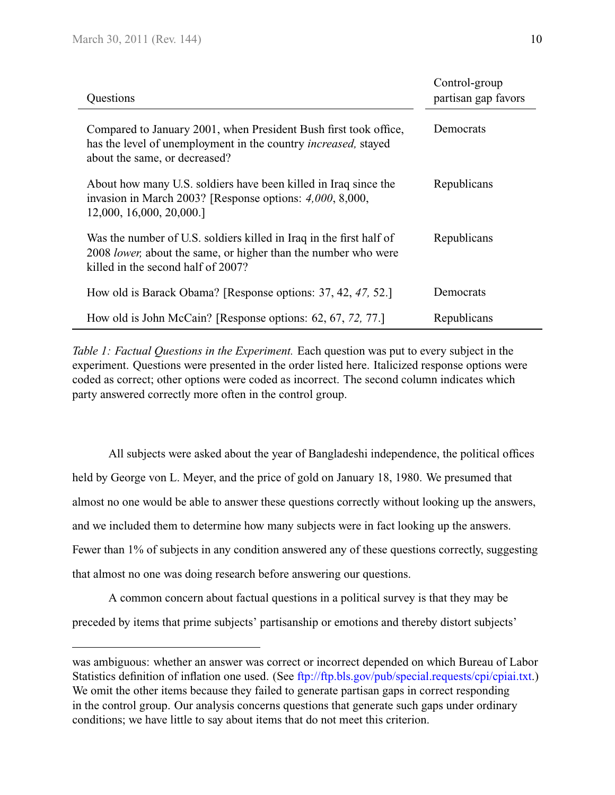<span id="page-9-1"></span><span id="page-9-0"></span>

| Questions                                                                                                                                                                           | Control-group<br>partisan gap favors |
|-------------------------------------------------------------------------------------------------------------------------------------------------------------------------------------|--------------------------------------|
| Compared to January 2001, when President Bush first took office,<br>has the level of unemployment in the country <i>increased</i> , stayed<br>about the same, or decreased?         | Democrats                            |
| About how many U.S. soldiers have been killed in Iraq since the<br>invasion in March 2003? [Response options: 4,000, 8,000,<br>12,000, 16,000, 20,000.                              | Republicans                          |
| Was the number of U.S. soldiers killed in Iraq in the first half of<br>2008 <i>lower</i> , about the same, or higher than the number who were<br>killed in the second half of 2007? | Republicans                          |
| How old is Barack Obama? [Response options: 37, 42, 47, 52.]                                                                                                                        | Democrats                            |
| How old is John McCain? [Response options: 62, 67, 72, 77.]                                                                                                                         | Republicans                          |

*Table 1: Factual Questions in the Experiment.* Each question was put to every subject in the experiment. Questions were presented in the order listed here. Italicized response options were coded as correct; other options were coded as incorrect. The second column indicates which party answered correctly more often in the control group.

All subjects were asked about the year of Bangladeshi independence, the political offices held by George von L. Meyer, and the price of gold on January 18, 1980. We presumed that almost no one would be able to answer these questions correctly without looking up the answers, and we included them to determine how many subjects were in fact looking up the answers. Fewer than 1% of subjects in any condition answered any of these questions correctly, suggesting that almost no one was doing research before answering our questions.

A common concern about factual questions in a political survey is that they may be preceded by items that prime subjects' partisanship or emotions and thereby distort subjects'

was ambiguous: whether an answer was correct or incorrect depended on which Bureau of Labor Statistics definition of inflation one used. (See [ftp://ftp.bls.gov/pub/special.requests/cpi/cpiai.txt.](ftp://ftp.bls.gov/pub/special.requests/cpi/cpiai.txt)) We omit the other items because they failed to generate partisan gaps in correct responding in the control group. Our analysis concerns questions that generate such gaps under ordinary conditions; we have little to say about items that do not meet this criterion.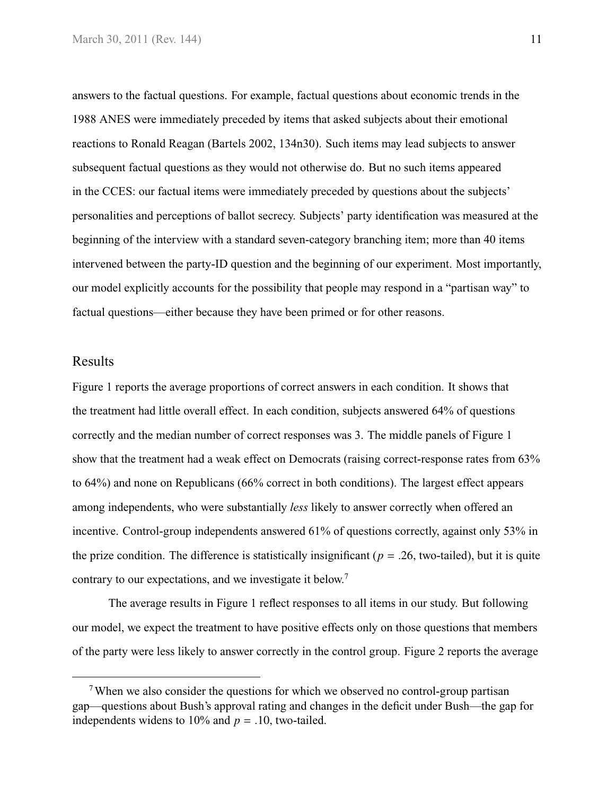answers to the factual questions. For example, factual questions about economic trends in the 1988 ANES were immediately preceded by items that asked subjects about their emotional reactions to Ronald Reagan [\(Bartels](#page-26-0) [2002,](#page-26-0) 134n30). Such items may lead subjects to answer subsequent factual questions as they would not otherwise do. But no such items appeared in the CCES: our factual items were immediately preceded by questions about the subjects' personalities and perceptions of ballot secrecy. Subjects' party identification was measured at the beginning of the interview with a standard seven-category branching item; more than 40 items intervened between the party-ID question and the beginning of our experiment. Most importantly, our model explicitly accounts for the possibility that people may respond in a "partisan way" to factual questions—either because they have been primed or for other reasons.

#### Results

[Figure 1](#page-11-0) reports the average proportions of correct answers in each condition. It shows that the treatment had little overall effect. In each condition, subjects answered 64% of questions correctly and the median number of correct responses was 3. The middle panels of [Figure 1](#page-11-0) show that the treatment had a weak effect on Democrats (raising correct-response rates from 63% to 64%) and none on Republicans (66% correct in both conditions). The largest effect appears among independents, who were substantially *less* likely to answer correctly when offered an incentive. Control-group independents answered 61% of questions correctly, against only 53% in the prize condition. The difference is statistically insignificant ( $p = .26$ , two-tailed), but it is quite contrary to our expectations, and we investigate it below.<sup>7</sup>

The average results in [Figure 1](#page-11-0) reflect responses to all items in our study. But following our model, we expect the treatment to have positive effects only on those questions that members of the party were less likely to answer correctly in the control group. [Figure 2](#page-12-0) reports the average

<sup>&</sup>lt;sup>7</sup>When we also consider the questions for which we observed no control-group partisan gap—questions about Bush's approval rating and changes in the deficit under Bush—the gap for independents widens to  $10\%$  and  $p = .10$ , two-tailed.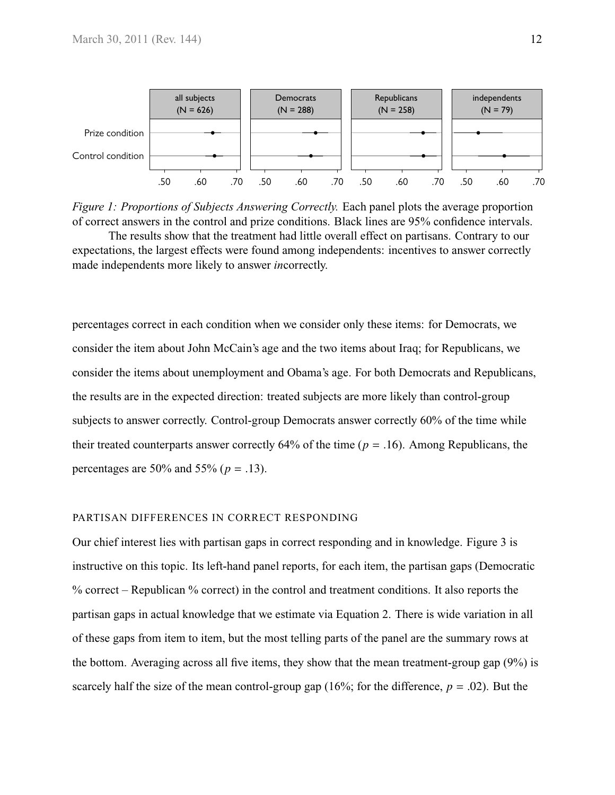<span id="page-11-0"></span>

*Figure 1: Proportions of Subjects Answering Correctly.* Each panel plots the average proportion of correct answers in the control and prize conditions. Black lines are 95% confidence intervals. The results show that the treatment had little overall effect on partisans. Contrary to our expectations, the largest effects were found among independents: incentives to answer correctly made independents more likely to answer *in*correctly.

percentages correct in each condition when we consider only these items: for Democrats, we consider the item about John McCain's age and the two items about Iraq; for Republicans, we consider the items about unemployment and Obama's age. For both Democrats and Republicans, the results are in the expected direction: treated subjects are more likely than control-group subjects to answer correctly. Control-group Democrats answer correctly 60% of the time while their treated counterparts answer correctly 64% of the time ( $p = .16$ ). Among Republicans, the percentages are 50% and 55% (*<sup>p</sup>* <sup>=</sup> .13).

#### PARTISAN DIFFERENCES IN CORRECT RESPONDING

Our chief interest lies with partisan gaps in correct responding and in knowledge. [Figure 3](#page-13-0) is instructive on this topic. Its left-hand panel reports, for each item, the partisan gaps (Democratic % correct – Republican % correct) in the control and treatment conditions. It also reports the partisan gaps in actual knowledge that we estimate via [Equation 2.](#page-7-0) There is wide variation in all of these gaps from item to item, but the most telling parts of the panel are the summary rows at the bottom. Averaging across all five items, they show that the mean treatment-group gap (9%) is scarcely half the size of the mean control-group gap  $(16\%$ ; for the difference,  $p = .02$ ). But the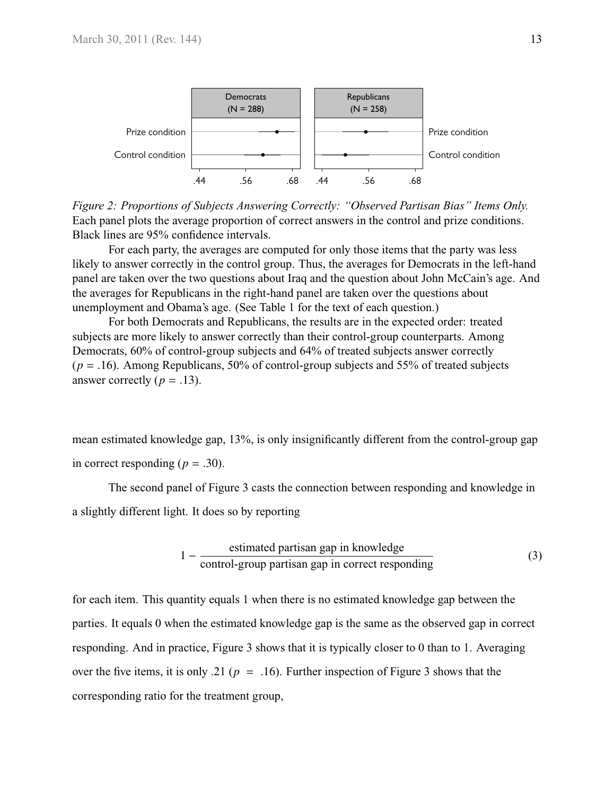<span id="page-12-0"></span>

*Figure 2: Proportions of Subjects Answering Correctly: "Observed Partisan Bias" Items Only.* Each panel plots the average proportion of correct answers in the control and prize conditions. Black lines are 95% confidence intervals.

For each party, the averages are computed for only those items that the party was less likely to answer correctly in the control group. Thus, the averages for Democrats in the left-hand panel are taken over the two questions about Iraq and the question about John McCain's age. And the averages for Republicans in the right-hand panel are taken over the questions about unemployment and Obama's age. (See [Table 1](#page-9-0) for the text of each question.)

For both Democrats and Republicans, the results are in the expected order: treated subjects are more likely to answer correctly than their control-group counterparts. Among Democrats, 60% of control-group subjects and 64% of treated subjects answer correctly (*<sup>p</sup>* <sup>=</sup> .16). Among Republicans, 50% of control-group subjects and 55% of treated subjects answer correctly ( $p = .13$ ).

mean estimated knowledge gap, 13%, is only insignificantly different from the control-group gap in correct responding  $(p=.30)$ .

The second panel of [Figure 3](#page-13-0) casts the connection between responding and knowledge in a slightly different light. It does so by reporting

<span id="page-12-1"></span>
$$
1 - \frac{\text{estimated partisan gap in knowledge}}{\text{control-group partisan gap in correct responding}} \tag{3}
$$

for each item. This quantity equals 1 when there is no estimated knowledge gap between the parties. It equals 0 when the estimated knowledge gap is the same as the observed gap in correct responding. And in practice, [Figure 3](#page-13-0) shows that it is typically closer to 0 than to 1. Averaging over the five items, it is only .21 ( $p = .16$ ). Further inspection of [Figure 3](#page-13-0) shows that the corresponding ratio for the treatment group,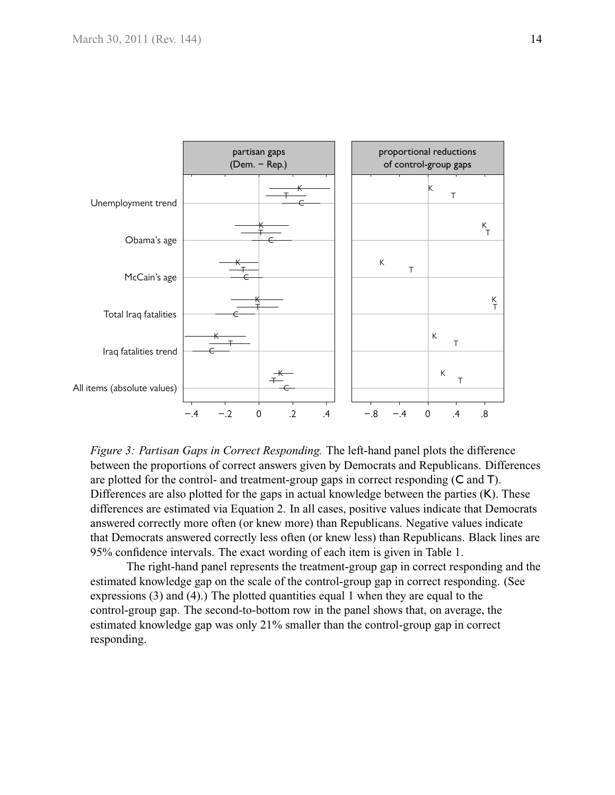<span id="page-13-0"></span>

*Figure 3: Partisan Gaps in Correct Responding.* The left-hand panel plots the difference between the proportions of correct answers given by Democrats and Republicans. Differences are plotted for the control- and treatment-group gaps in correct responding (C and T). Differences are also plotted for the gaps in actual knowledge between the parties (K). These differences are estimated via [Equation 2.](#page-7-0) In all cases, positive values indicate that Democrats answered correctly more often (or knew more) than Republicans. Negative values indicate that Democrats answered correctly less often (or knew less) than Republicans. Black lines are 95% confidence intervals. The exact wording of each item is given in [Table 1.](#page-9-0)

The right-hand panel represents the treatment-group gap in correct responding and the estimated knowledge gap on the scale of the control-group gap in correct responding. (See expressions [\(3\)](#page-12-1) and [\(4\)](#page-14-0).) The plotted quantities equal 1 when they are equal to the control-group gap. The second-to-bottom row in the panel shows that, on average, the estimated knowledge gap was only 21% smaller than the control-group gap in correct responding.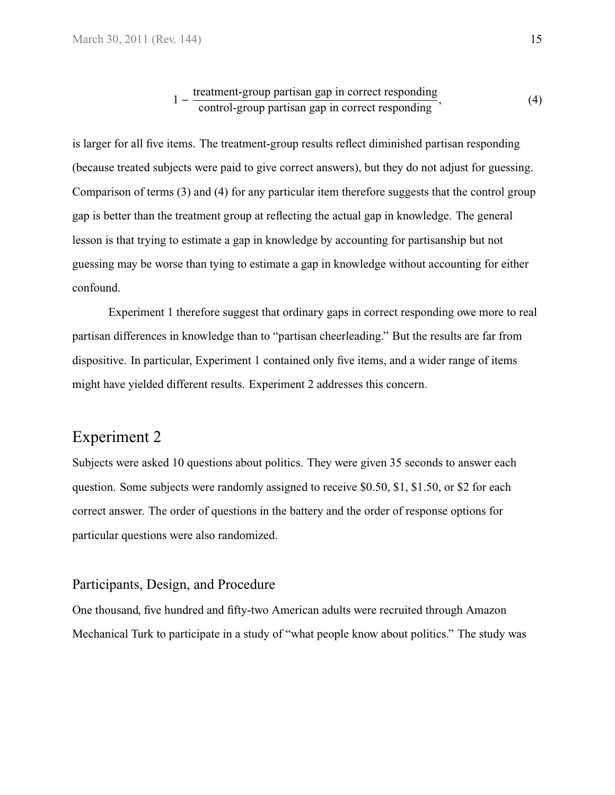<span id="page-14-0"></span>
$$
1 - \frac{\text{treatment-group partisan gap in correct responding}}{\text{control-group partisan gap in correct responding}},\tag{4}
$$

is larger for all five items. The treatment-group results reflect diminished partisan responding (because treated subjects were paid to give correct answers), but they do not adjust for guessing. Comparison of terms [\(3\)](#page-12-1) and [\(4\)](#page-14-0) for any particular item therefore suggests that the control group gap is better than the treatment group at reflecting the actual gap in knowledge. The general lesson is that trying to estimate a gap in knowledge by accounting for partisanship but not guessing may be worse than tying to estimate a gap in knowledge without accounting for either confound.

Experiment 1 therefore suggest that ordinary gaps in correct responding owe more to real partisan differences in knowledge than to "partisan cheerleading." But the results are far from dispositive. In particular, Experiment 1 contained only five items, and a wider range of items might have yielded different results. Experiment 2 addresses this concern.

# Experiment 2

Subjects were asked 10 questions about politics. They were given 35 seconds to answer each question. Some subjects were randomly assigned to receive \$0.50, \$1, \$1.50, or \$2 for each correct answer. The order of questions in the battery and the order of response options for particular questions were also randomized.

#### Participants, Design, and Procedure

One thousand, five hundred and fifty-two American adults were recruited through Amazon Mechanical Turk to participate in a study of "what people know about politics." The study was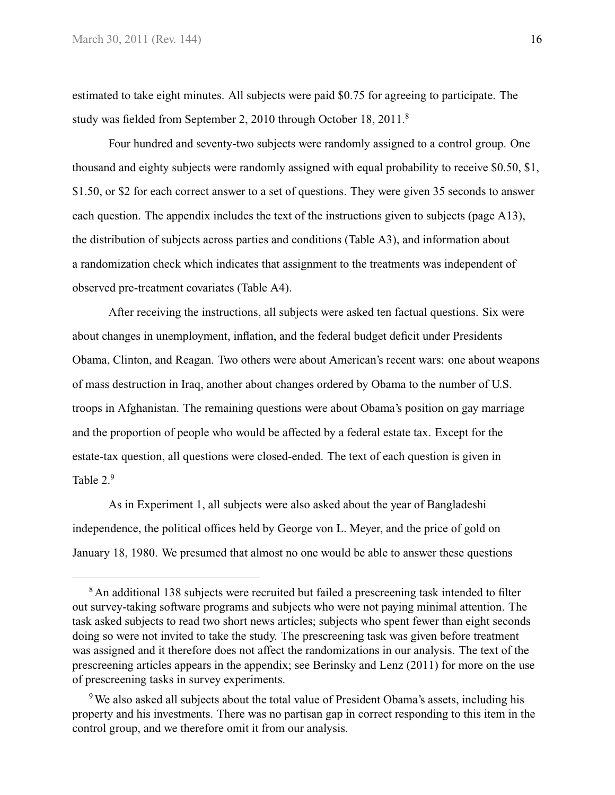estimated to take eight minutes. All subjects were paid \$0.75 for agreeing to participate. The study was fielded from September 2, 2010 through October 18, 2011.<sup>8</sup>

Four hundred and seventy-two subjects were randomly assigned to a control group. One thousand and eighty subjects were randomly assigned with equal probability to receive \$0.50, \$1, \$1.50, or \$2 for each correct answer to a set of questions. They were given 35 seconds to answer each question. The appendix includes the text of the instructions given to subjects [\(page A13\)](#page-41-0), the distribution of subjects across parties and conditions [\(Table A3\)](#page-42-0), and information about a randomization check which indicates that assignment to the treatments was independent of observed pre-treatment covariates [\(Table A4\)](#page-43-0).

After receiving the instructions, all subjects were asked ten factual questions. Six were about changes in unemployment, inflation, and the federal budget deficit under Presidents Obama, Clinton, and Reagan. Two others were about American's recent wars: one about weapons of mass destruction in Iraq, another about changes ordered by Obama to the number of U.S. troops in Afghanistan. The remaining questions were about Obama's position on gay marriage and the proportion of people who would be affected by a federal estate tax. Except for the estate-tax question, all questions were closed-ended. The text of each question is given in [Table 2.](#page-16-0)<sup>9</sup>

As in Experiment 1, all subjects were also asked about the year of Bangladeshi independence, the political offices held by George von L. Meyer, and the price of gold on January 18, 1980. We presumed that almost no one would be able to answer these questions

<sup>&</sup>lt;sup>8</sup> An additional 138 subjects were recruited but failed a prescreening task intended to filter out survey-taking software programs and subjects who were not paying minimal attention. The task asked subjects to read two short news articles; subjects who spent fewer than eight seconds doing so were not invited to take the study. The prescreening task was given before treatment was assigned and it therefore does not affect the randomizations in our analysis. The text of the prescreening articles appears in the appendix; see Berinsky and Lenz (2011) for more on the use of prescreening tasks in survey experiments.

<sup>9</sup>We also asked all subjects about the total value of President Obama's assets, including his property and his investments. There was no partisan gap in correct responding to this item in the control group, and we therefore omit it from our analysis.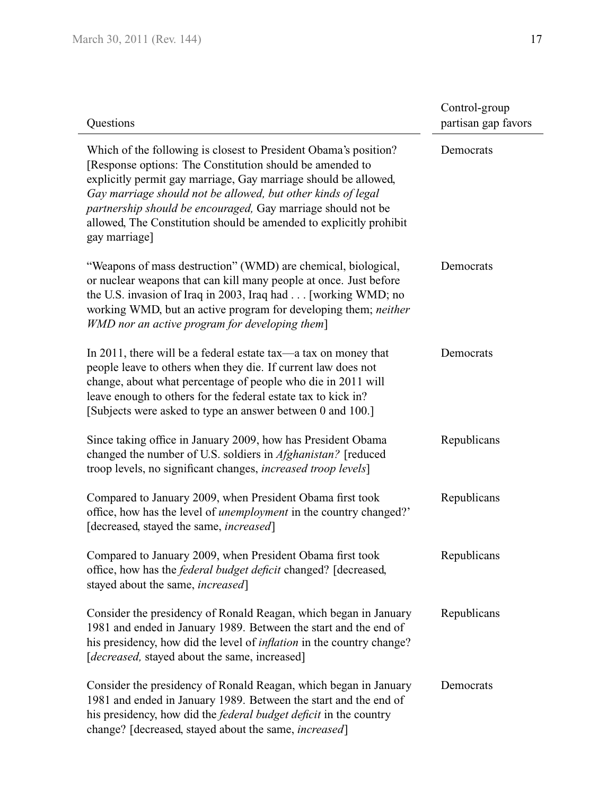<span id="page-16-1"></span><span id="page-16-0"></span>

| Questions                                                                                                                                                                                                                                                                                                                                                                                                              | Control-group<br>partisan gap favors |
|------------------------------------------------------------------------------------------------------------------------------------------------------------------------------------------------------------------------------------------------------------------------------------------------------------------------------------------------------------------------------------------------------------------------|--------------------------------------|
| Which of the following is closest to President Obama's position?<br>[Response options: The Constitution should be amended to<br>explicitly permit gay marriage, Gay marriage should be allowed,<br>Gay marriage should not be allowed, but other kinds of legal<br>partnership should be encouraged, Gay marriage should not be<br>allowed, The Constitution should be amended to explicitly prohibit<br>gay marriage] | Democrats                            |
| "Weapons of mass destruction" (WMD) are chemical, biological,<br>or nuclear weapons that can kill many people at once. Just before<br>the U.S. invasion of Iraq in 2003, Iraq had [working WMD; no<br>working WMD, but an active program for developing them; neither<br>WMD nor an active program for developing them]                                                                                                | Democrats                            |
| In 2011, there will be a federal estate tax—a tax on money that<br>people leave to others when they die. If current law does not<br>change, about what percentage of people who die in 2011 will<br>leave enough to others for the federal estate tax to kick in?<br>[Subjects were asked to type an answer between 0 and 100.]                                                                                        | Democrats                            |
| Since taking office in January 2009, how has President Obama<br>changed the number of U.S. soldiers in <i>Afghanistan</i> ? [reduced<br>troop levels, no significant changes, <i>increased troop levels</i> ]                                                                                                                                                                                                          | Republicans                          |
| Compared to January 2009, when President Obama first took<br>office, how has the level of <i>unemployment</i> in the country changed?'<br>[decreased, stayed the same, <i>increased</i> ]                                                                                                                                                                                                                              | Republicans                          |
| Compared to January 2009, when President Obama first took<br>office, how has the <i>federal budget deficit</i> changed? [decreased,<br>stayed about the same, increased]                                                                                                                                                                                                                                               | Republicans                          |
| Consider the presidency of Ronald Reagan, which began in January<br>1981 and ended in January 1989. Between the start and the end of<br>his presidency, how did the level of <i>inflation</i> in the country change?<br>[decreased, stayed about the same, increased]                                                                                                                                                  | Republicans                          |
| Consider the presidency of Ronald Reagan, which began in January<br>1981 and ended in January 1989. Between the start and the end of<br>his presidency, how did the <i>federal budget deficit</i> in the country<br>change? [decreased, stayed about the same, increased]                                                                                                                                              | Democrats                            |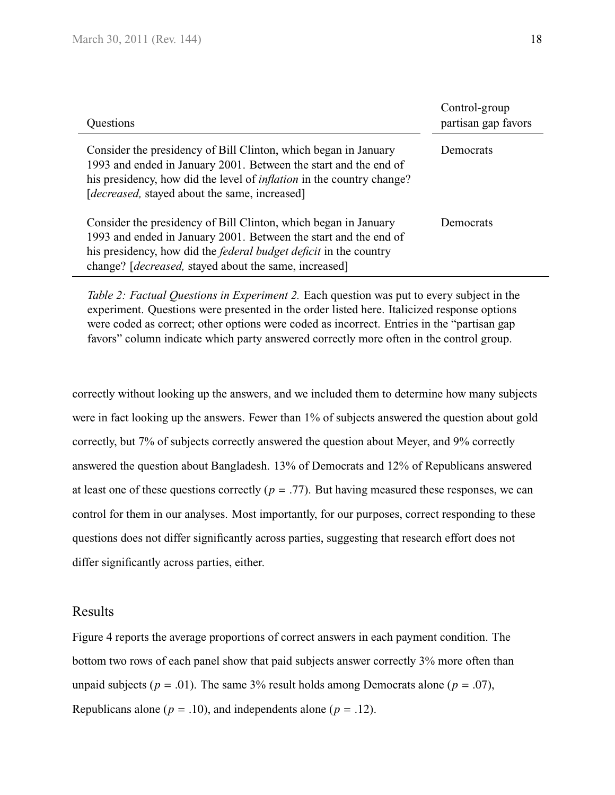| Questions                                                                                                                                                                                                                                                                         | Control-group<br>partisan gap favors |
|-----------------------------------------------------------------------------------------------------------------------------------------------------------------------------------------------------------------------------------------------------------------------------------|--------------------------------------|
| Consider the presidency of Bill Clinton, which began in January<br>1993 and ended in January 2001. Between the start and the end of<br>his presidency, how did the level of <i>inflation</i> in the country change?<br>[ <i>decreased</i> , stayed about the same, increased]     | Democrats                            |
| Consider the presidency of Bill Clinton, which began in January<br>1993 and ended in January 2001. Between the start and the end of<br>his presidency, how did the <i>federal budget deficit</i> in the country<br>change? [ <i>decreased</i> , stayed about the same, increased] | Democrats                            |

*Table 2: Factual Questions in Experiment 2.* Each question was put to every subject in the experiment. Questions were presented in the order listed here. Italicized response options were coded as correct; other options were coded as incorrect. Entries in the "partisan gap favors" column indicate which party answered correctly more often in the control group.

correctly without looking up the answers, and we included them to determine how many subjects were in fact looking up the answers. Fewer than 1% of subjects answered the question about gold correctly, but 7% of subjects correctly answered the question about Meyer, and 9% correctly answered the question about Bangladesh. 13% of Democrats and 12% of Republicans answered at least one of these questions correctly ( $p = .77$ ). But having measured these responses, we can control for them in our analyses. Most importantly, for our purposes, correct responding to these questions does not differ significantly across parties, suggesting that research effort does not differ significantly across parties, either.

#### Results

[Figure 4](#page-18-0) reports the average proportions of correct answers in each payment condition. The bottom two rows of each panel show that paid subjects answer correctly 3% more often than unpaid subjects ( $p = .01$ ). The same 3% result holds among Democrats alone ( $p = .07$ ), Republicans alone ( $p = .10$ ), and independents alone ( $p = .12$ ).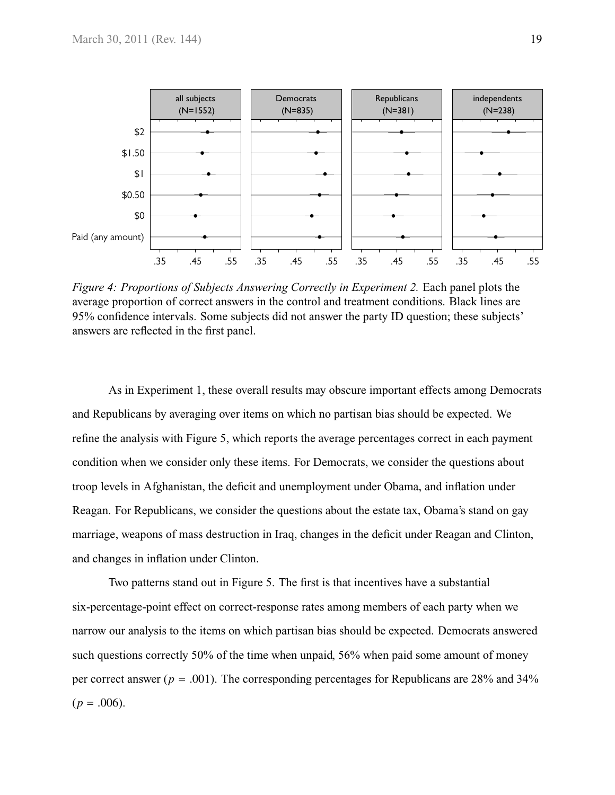<span id="page-18-0"></span>

*Figure 4: Proportions of Subjects Answering Correctly in Experiment 2.* Each panel plots the average proportion of correct answers in the control and treatment conditions. Black lines are 95% confidence intervals. Some subjects did not answer the party ID question; these subjects' answers are reflected in the first panel.

As in Experiment 1, these overall results may obscure important effects among Democrats and Republicans by averaging over items on which no partisan bias should be expected. We refine the analysis with [Figure 5,](#page-20-0) which reports the average percentages correct in each payment condition when we consider only these items. For Democrats, we consider the questions about troop levels in Afghanistan, the deficit and unemployment under Obama, and inflation under Reagan. For Republicans, we consider the questions about the estate tax, Obama's stand on gay marriage, weapons of mass destruction in Iraq, changes in the deficit under Reagan and Clinton, and changes in inflation under Clinton.

Two patterns stand out in [Figure 5.](#page-20-0) The first is that incentives have a substantial six-percentage-point effect on correct-response rates among members of each party when we narrow our analysis to the items on which partisan bias should be expected. Democrats answered such questions correctly 50% of the time when unpaid, 56% when paid some amount of money per correct answer ( $p = .001$ ). The corresponding percentages for Republicans are 28% and 34%  $(p=.006).$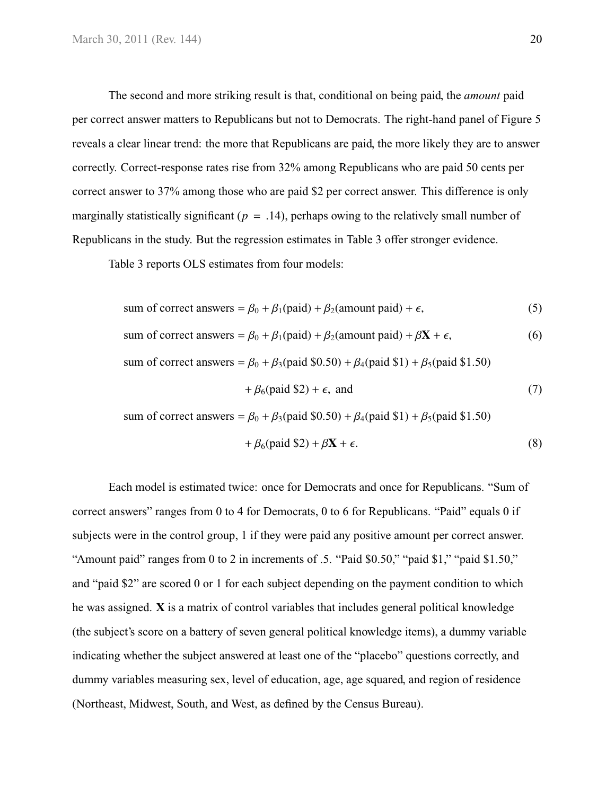The second and more striking result is that, conditional on being paid, the *amount* paid per correct answer matters to Republicans but not to Democrats. The right-hand panel of [Figure 5](#page-20-0) reveals a clear linear trend: the more that Republicans are paid, the more likely they are to answer correctly. Correct-response rates rise from 32% among Republicans who are paid 50 cents per correct answer to 37% among those who are paid \$2 per correct answer. This difference is only marginally statistically significant ( $p = .14$ ), perhaps owing to the relatively small number of Republicans in the study. But the regression estimates in [Table 3](#page-21-0) offer stronger evidence.

[Table 3](#page-21-0) reports OLS estimates from four models:

sum of correct answers = 
$$
\beta_0 + \beta_1
$$
(paid) +  $\beta_2$ (amount paid) +  $\epsilon$ , (5)

sum of correct answers = 
$$
\beta_0 + \beta_1
$$
(paid) +  $\beta_2$ (amount paid) +  $\beta$ **X** +  $\epsilon$ , (6)

sum of correct answers =  $\beta_0 + \beta_3$ (paid \$0.50) +  $\beta_4$ (paid \$1) +  $\beta_5$ (paid \$1.50)

<span id="page-19-4"></span><span id="page-19-3"></span><span id="page-19-2"></span><span id="page-19-1"></span>
$$
+\beta_6(\text{paid }\$2) + \epsilon, \text{ and } (7)
$$

sum of correct answers =  $\beta_0 + \beta_3$ (paid \$0.50) +  $\beta_4$ (paid \$1) +  $\beta_5$ (paid \$1.50)

<span id="page-19-0"></span>
$$
+\beta_6(\text{paid }\$2) + \beta \mathbf{X} + \epsilon. \tag{8}
$$

Each model is estimated twice: once for Democrats and once for Republicans. "Sum of correct answers" ranges from 0 to 4 for Democrats, 0 to 6 for Republicans. "Paid" equals 0 if subjects were in the control group, 1 if they were paid any positive amount per correct answer. "Amount paid" ranges from 0 to 2 in increments of .5. "Paid \$0.50," "paid \$1," "paid \$1.50," and "paid \$2" are scored 0 or 1 for each subject depending on the payment condition to which he was assigned. **X** is a matrix of control variables that includes general political knowledge (the subject's score on a battery of seven general political knowledge items), a dummy variable indicating whether the subject answered at least one of the "placebo" questions correctly, and dummy variables measuring sex, level of education, age, age squared, and region of residence (Northeast, Midwest, South, and West, as defined by the Census Bureau).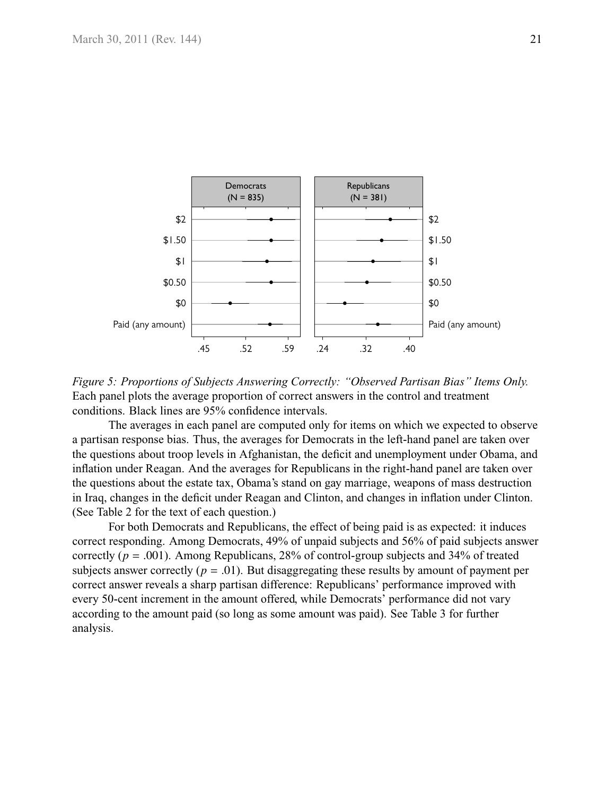<span id="page-20-0"></span>

*Figure 5: Proportions of Subjects Answering Correctly: "Observed Partisan Bias" Items Only.* Each panel plots the average proportion of correct answers in the control and treatment conditions. Black lines are 95% confidence intervals.

The averages in each panel are computed only for items on which we expected to observe a partisan response bias. Thus, the averages for Democrats in the left-hand panel are taken over the questions about troop levels in Afghanistan, the deficit and unemployment under Obama, and inflation under Reagan. And the averages for Republicans in the right-hand panel are taken over the questions about the estate tax, Obama's stand on gay marriage, weapons of mass destruction in Iraq, changes in the deficit under Reagan and Clinton, and changes in inflation under Clinton. (See [Table 2](#page-16-0) for the text of each question.)

For both Democrats and Republicans, the effect of being paid is as expected: it induces correct responding. Among Democrats, 49% of unpaid subjects and 56% of paid subjects answer correctly  $(p = .001)$ . Among Republicans, 28% of control-group subjects and 34% of treated subjects answer correctly  $(p = .01)$ . But disaggregating these results by amount of payment per correct answer reveals a sharp partisan difference: Republicans' performance improved with every 50-cent increment in the amount offered, while Democrats' performance did not vary according to the amount paid (so long as some amount was paid). See [Table 3](#page-21-0) for further analysis.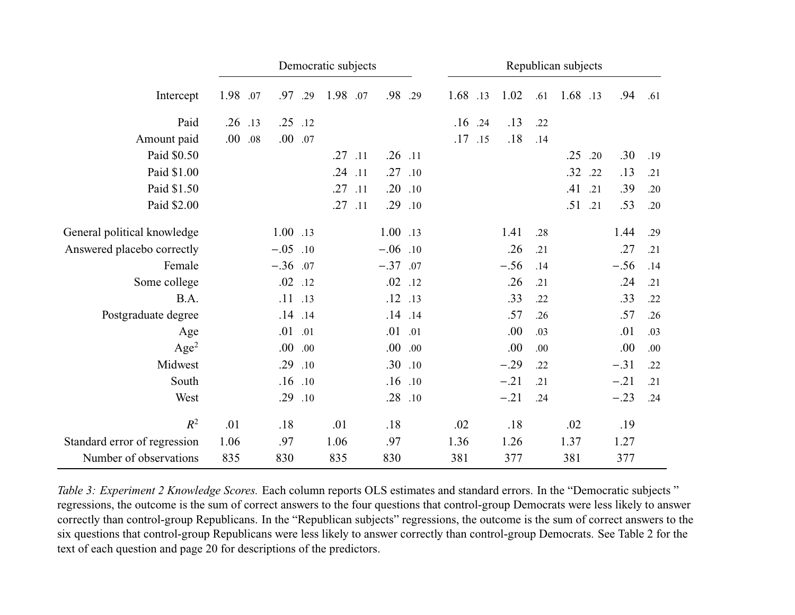<span id="page-21-0"></span>

|                              |      |     |             |     | Democratic subjects |     |             |             |          |     |        |     | Republican subjects |     |        |     |
|------------------------------|------|-----|-------------|-----|---------------------|-----|-------------|-------------|----------|-----|--------|-----|---------------------|-----|--------|-----|
| Intercept                    | 1.98 | .07 | .97         | .29 | 1.98                | .07 | .98         | .29         | 1.68 .13 |     | 1.02   | .61 | 1.68 .13            |     | .94    | .61 |
| Paid                         | .26  | .13 | .25         | .12 |                     |     |             |             | .16      | .24 | .13    | .22 |                     |     |        |     |
| Amount paid                  | .00  | .08 | .00.        | .07 |                     |     |             |             | .17      | .15 | .18    | .14 |                     |     |        |     |
| Paid \$0.50                  |      |     |             |     | $.27$ .11           |     | $.26$ .11   |             |          |     |        |     | .25                 | .20 | .30    | .19 |
| Paid \$1.00                  |      |     |             |     | .24                 | .11 | .27         | .10         |          |     |        |     | .32                 | .22 | .13    | .21 |
| Paid \$1.50                  |      |     |             |     | .27                 | .11 | .20         | .10         |          |     |        |     | .41                 | .21 | .39    | .20 |
| Paid \$2.00                  |      |     |             |     | .27                 | .11 | .29 .10     |             |          |     |        |     | .51                 | .21 | .53    | .20 |
| General political knowledge  |      |     | $1.00$ .13  |     |                     |     | 1.00 .13    |             |          |     | 1.41   | .28 |                     |     | 1.44   | .29 |
| Answered placebo correctly   |      |     | $-.05$      | .10 |                     |     | $-.06$ .10  |             |          |     | .26    | .21 |                     |     | .27    | .21 |
| Female                       |      |     | $-.36$ .07  |     |                     |     | $-.37$ .07  |             |          |     | $-.56$ | .14 |                     |     | $-.56$ | .14 |
| Some college                 |      |     | $.02$ .12   |     |                     |     |             | $.02$ .12   |          |     | .26    | .21 |                     |     | .24    | .21 |
| B.A.                         |      |     | $.11$ .13   |     |                     |     | $.12$ $.13$ |             |          |     | .33    | .22 |                     |     | .33    | .22 |
| Postgraduate degree          |      |     | $.14$ $.14$ |     |                     |     |             | $.14$ $.14$ |          |     | .57    | .26 |                     |     | .57    | .26 |
| Age                          |      |     | .01 .01     |     |                     |     | $.01\,$     | .01         |          |     | .00    | .03 |                     |     | .01    | .03 |
| Age <sup>2</sup>             |      |     | 00.         | .00 |                     |     |             | .00.00      |          |     | .00    | .00 |                     |     | .00    | .00 |
| Midwest                      |      |     | .29         | .10 |                     |     |             | .30.10      |          |     | $-.29$ | .22 |                     |     | $-.31$ | .22 |
| South                        |      |     | $.16$ .10   |     |                     |     |             | $.16$ .10   |          |     | $-.21$ | .21 |                     |     | $-.21$ | .21 |
| West                         |      |     | .29         | .10 |                     |     | .28         | .10         |          |     | $-.21$ | .24 |                     |     | $-.23$ | .24 |
| $R^2$                        | .01  |     | .18         |     | .01                 |     | .18         |             | .02      |     | .18    |     | .02                 |     | .19    |     |
| Standard error of regression | 1.06 |     | .97         |     | 1.06                |     | .97         |             | 1.36     |     | 1.26   |     | 1.37                |     | 1.27   |     |
| Number of observations       | 835  |     | 830         |     | 835                 |     | 830         |             | 381      |     | 377    |     | 381                 |     | 377    |     |

*Table 3: Experiment 2 Knowledge Scores.* Each column reports OLS estimates and standard errors. In the "Democratic subjects " regressions, the outcome is the sum of correct answers to the four questions that control-group Democrats were less likely to answer correctly than control-group Republicans. In the "Republican subjects" regressions, the outcome is the sum of correct answers to the six questions that control-group Republicans were less likely to answer correctly than control-group Democrats. See [Table](#page-16-1) <sup>2</sup> for the text of each question and [page](#page-19-0) <sup>20</sup> for descriptions of the predictors.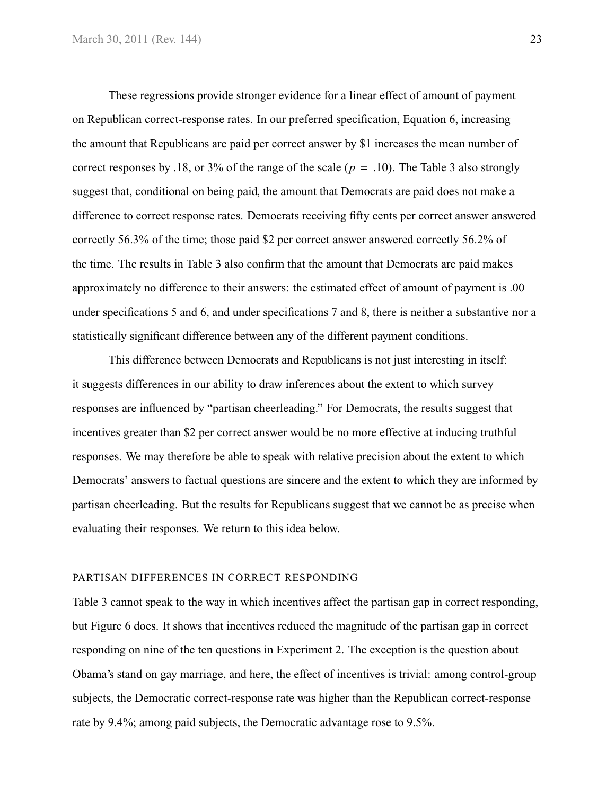These regressions provide stronger evidence for a linear effect of amount of payment on Republican correct-response rates. In our preferred specification, [Equation 6,](#page-19-1) increasing the amount that Republicans are paid per correct answer by \$1 increases the mean number of correct responses by .18, or 3% of the range of the scale ( $p = .10$ ). The [Table 3](#page-21-0) also strongly suggest that, conditional on being paid, the amount that Democrats are paid does not make a difference to correct response rates. Democrats receiving fifty cents per correct answer answered correctly 56.3% of the time; those paid \$2 per correct answer answered correctly 56.2% of the time. The results in [Table 3](#page-21-0) also confirm that the amount that Democrats are paid makes approximately no difference to their answers: the estimated effect of amount of payment is .00 under specifications [5](#page-19-2) and [6,](#page-19-1) and under specifications [7](#page-19-3) and [8,](#page-19-4) there is neither a substantive nor a statistically significant difference between any of the different payment conditions.

This difference between Democrats and Republicans is not just interesting in itself: it suggests differences in our ability to draw inferences about the extent to which survey responses are influenced by "partisan cheerleading." For Democrats, the results suggest that incentives greater than \$2 per correct answer would be no more effective at inducing truthful responses. We may therefore be able to speak with relative precision about the extent to which Democrats' answers to factual questions are sincere and the extent to which they are informed by partisan cheerleading. But the results for Republicans suggest that we cannot be as precise when evaluating their responses. We return to this idea below.

#### PARTISAN DIFFERENCES IN CORRECT RESPONDING

[Table 3](#page-21-0) cannot speak to the way in which incentives affect the partisan gap in correct responding, but [Figure 6](#page-24-0) does. It shows that incentives reduced the magnitude of the partisan gap in correct responding on nine of the ten questions in Experiment 2. The exception is the question about Obama's stand on gay marriage, and here, the effect of incentives is trivial: among control-group subjects, the Democratic correct-response rate was higher than the Republican correct-response rate by 9.4%; among paid subjects, the Democratic advantage rose to 9.5%.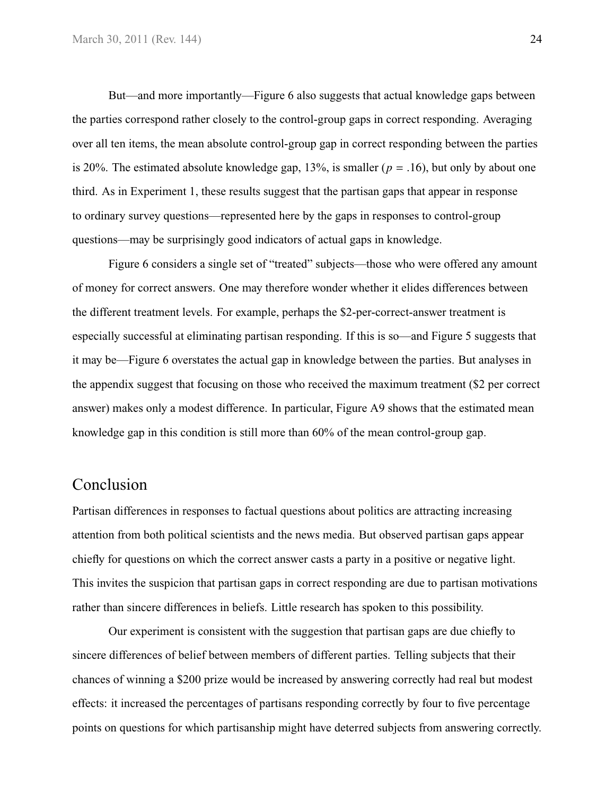But—and more importantly[—Figure 6](#page-24-0) also suggests that actual knowledge gaps between the parties correspond rather closely to the control-group gaps in correct responding. Averaging over all ten items, the mean absolute control-group gap in correct responding between the parties is 20%. The estimated absolute knowledge gap,  $13\%$ , is smaller ( $p = .16$ ), but only by about one third. As in Experiment 1, these results suggest that the partisan gaps that appear in response to ordinary survey questions—represented here by the gaps in responses to control-group questions—may be surprisingly good indicators of actual gaps in knowledge.

[Figure 6](#page-24-0) considers a single set of "treated" subjects—those who were offered any amount of money for correct answers. One may therefore wonder whether it elides differences between the different treatment levels. For example, perhaps the \$2-per-correct-answer treatment is especially successful at eliminating partisan responding. If this is so—and [Figure 5](#page-20-0) suggests that it may be[—Figure 6](#page-24-0) overstates the actual gap in knowledge between the parties. But analyses in the appendix suggest that focusing on those who received the maximum treatment (\$2 per correct answer) makes only a modest difference. In particular, [Figure A9](#page-47-0) shows that the estimated mean knowledge gap in this condition is still more than 60% of the mean control-group gap.

# Conclusion

Partisan differences in responses to factual questions about politics are attracting increasing attention from both political scientists and the news media. But observed partisan gaps appear chiefly for questions on which the correct answer casts a party in a positive or negative light. This invites the suspicion that partisan gaps in correct responding are due to partisan motivations rather than sincere differences in beliefs. Little research has spoken to this possibility.

Our experiment is consistent with the suggestion that partisan gaps are due chiefly to sincere differences of belief between members of different parties. Telling subjects that their chances of winning a \$200 prize would be increased by answering correctly had real but modest effects: it increased the percentages of partisans responding correctly by four to five percentage points on questions for which partisanship might have deterred subjects from answering correctly.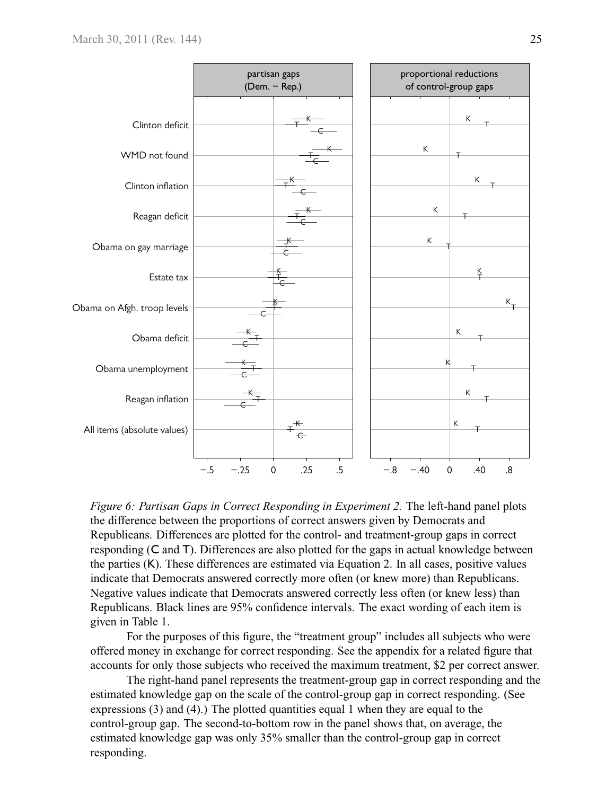<span id="page-24-0"></span>

*Figure 6: Partisan Gaps in Correct Responding in Experiment 2.* The left-hand panel plots the difference between the proportions of correct answers given by Democrats and Republicans. Differences are plotted for the control- and treatment-group gaps in correct responding (C and T). Differences are also plotted for the gaps in actual knowledge between the parties (K). These differences are estimated via [Equation 2.](#page-7-0) In all cases, positive values indicate that Democrats answered correctly more often (or knew more) than Republicans. Negative values indicate that Democrats answered correctly less often (or knew less) than Republicans. Black lines are 95% confidence intervals. The exact wording of each item is given in [Table 1.](#page-9-0)

For the purposes of this figure, the "treatment group" includes all subjects who were offered money in exchange for correct responding. See the appendix for a related figure that accounts for only those subjects who received the maximum treatment, \$2 per correct answer.

The right-hand panel represents the treatment-group gap in correct responding and the estimated knowledge gap on the scale of the control-group gap in correct responding. (See expressions [\(3\)](#page-12-1) and [\(4\)](#page-14-0).) The plotted quantities equal 1 when they are equal to the control-group gap. The second-to-bottom row in the panel shows that, on average, the estimated knowledge gap was only 35% smaller than the control-group gap in correct responding.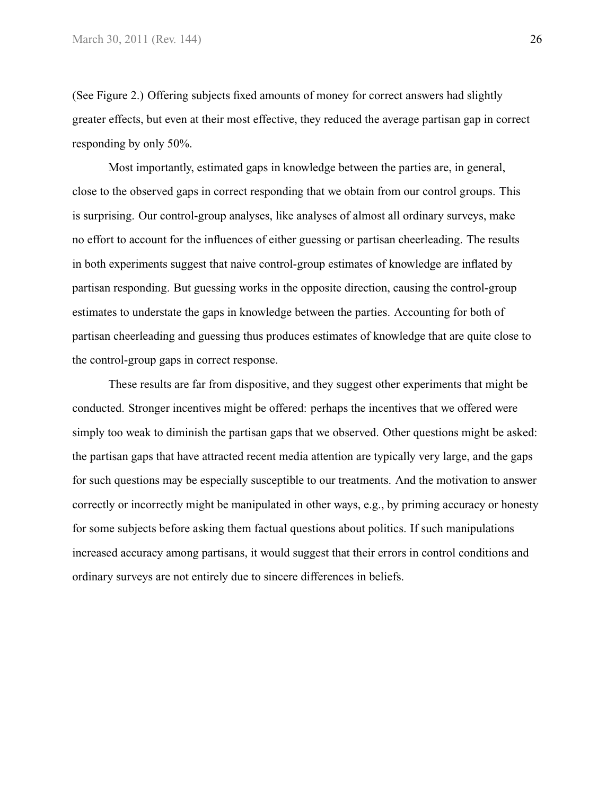(See [Figure 2.](#page-12-0)) Offering subjects fixed amounts of money for correct answers had slightly greater effects, but even at their most effective, they reduced the average partisan gap in correct responding by only 50%.

Most importantly, estimated gaps in knowledge between the parties are, in general, close to the observed gaps in correct responding that we obtain from our control groups. This is surprising. Our control-group analyses, like analyses of almost all ordinary surveys, make no effort to account for the influences of either guessing or partisan cheerleading. The results in both experiments suggest that naive control-group estimates of knowledge are inflated by partisan responding. But guessing works in the opposite direction, causing the control-group estimates to understate the gaps in knowledge between the parties. Accounting for both of partisan cheerleading and guessing thus produces estimates of knowledge that are quite close to the control-group gaps in correct response.

These results are far from dispositive, and they suggest other experiments that might be conducted. Stronger incentives might be offered: perhaps the incentives that we offered were simply too weak to diminish the partisan gaps that we observed. Other questions might be asked: the partisan gaps that have attracted recent media attention are typically very large, and the gaps for such questions may be especially susceptible to our treatments. And the motivation to answer correctly or incorrectly might be manipulated in other ways, e.g., by priming accuracy or honesty for some subjects before asking them factual questions about politics. If such manipulations increased accuracy among partisans, it would suggest that their errors in control conditions and ordinary surveys are not entirely due to sincere differences in beliefs.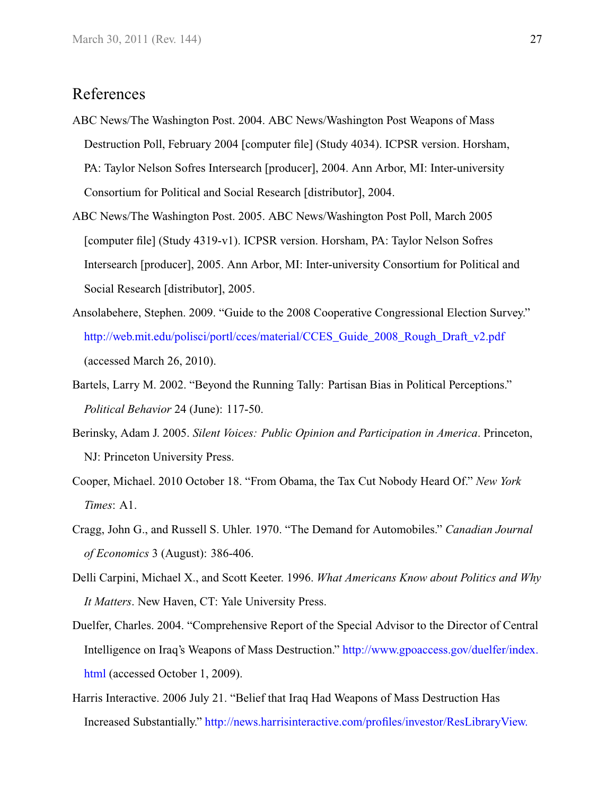# <span id="page-26-1"></span>References

- ABC News/The Washington Post. 2004. ABC News/Washington Post Weapons of Mass Destruction Poll, February 2004 [computer file] (Study 4034). ICPSR version. Horsham, PA: Taylor Nelson Sofres Intersearch [producer], 2004. Ann Arbor, MI: Inter-university Consortium for Political and Social Research [distributor], 2004.
- <span id="page-26-2"></span>ABC News/The Washington Post. 2005. ABC News/Washington Post Poll, March 2005 [computer file] (Study 4319-v1). ICPSR version. Horsham, PA: Taylor Nelson Sofres Intersearch [producer], 2005. Ann Arbor, MI: Inter-university Consortium for Political and Social Research [distributor], 2005.
- <span id="page-26-8"></span>Ansolabehere, Stephen. 2009. "Guide to the 2008 Cooperative Congressional Election Survey." [http://web.mit.edu/polisci/portl/cces/material/CCES\\_Guide\\_2008\\_Rough\\_Draft\\_v2.pdf](http://web.mit.edu/polisci/portl/cces/material/CCES_Guide_2008_Rough_Draft_v2.pdf) (accessed March 26, 2010).
- <span id="page-26-0"></span>Bartels, Larry M. 2002. "Beyond the Running Tally: Partisan Bias in Political Perceptions." *Political Behavior* 24 (June): 117-50.
- <span id="page-26-7"></span>Berinsky, Adam J. 2005. *Silent Voices: Public Opinion and Participation in America*. Princeton, NJ: Princeton University Press.
- <span id="page-26-5"></span>Cooper, Michael. 2010 October 18. "From Obama, the Tax Cut Nobody Heard Of." *New York Times*: A1.
- <span id="page-26-9"></span>Cragg, John G., and Russell S. Uhler. 1970. "The Demand for Automobiles." *Canadian Journal of Economics* 3 (August): 386-406.
- <span id="page-26-6"></span>Delli Carpini, Michael X., and Scott Keeter. 1996. *What Americans Know about Politics and Why It Matters*. New Haven, CT: Yale University Press.
- <span id="page-26-4"></span>Duelfer, Charles. 2004. "Comprehensive Report of the Special Advisor to the Director of Central Intelligence on Iraq's Weapons of Mass Destruction." [http://www.gpoaccess.gov/duelfer/index.](http://www.gpoaccess.gov/duelfer/index.html) [html](http://www.gpoaccess.gov/duelfer/index.html) (accessed October 1, 2009).
- <span id="page-26-3"></span>Harris Interactive. 2006 July 21. "Belief that Iraq Had Weapons of Mass Destruction Has Increased Substantially." [http://news.harrisinteractive.com/profiles/investor/ResLibraryView.](http://news.harrisinteractive.com/profiles/investor/ResLibraryView.asp?ResLibraryID=34134&GoTopage=4&Category=1777&BzID=1963&t=8)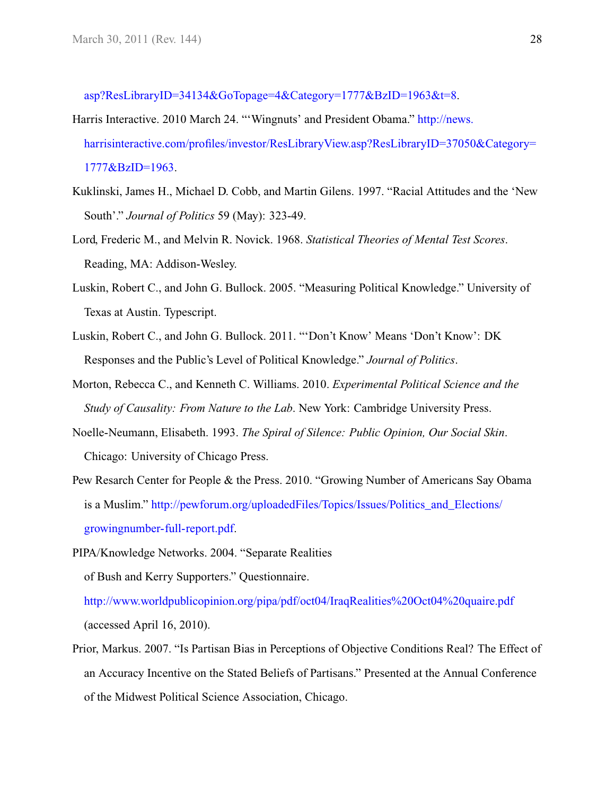[asp?ResLibraryID=34134&GoTopage=4&Category=1777&BzID=1963&t=8.](http://news.harrisinteractive.com/profiles/investor/ResLibraryView.asp?ResLibraryID=34134&GoTopage=4&Category=1777&BzID=1963&t=8)

- <span id="page-27-0"></span>Harris Interactive. 2010 March 24. "'Wingnuts' and President Obama." [http://news.](http://news.harrisinteractive.com/profiles/investor/ResLibraryView.asp?ResLibraryID=37050&Category=1777&BzID=1963) [harrisinteractive.com/profiles/investor/ResLibraryView.asp?ResLibraryID=37050&Category=](http://news.harrisinteractive.com/profiles/investor/ResLibraryView.asp?ResLibraryID=37050&Category=1777&BzID=1963) [1777&BzID=1963.](http://news.harrisinteractive.com/profiles/investor/ResLibraryView.asp?ResLibraryID=37050&Category=1777&BzID=1963)
- <span id="page-27-5"></span>Kuklinski, James H., Michael D. Cobb, and Martin Gilens. 1997. "Racial Attitudes and the 'New South'." *Journal of Politics* 59 (May): 323-49.
- <span id="page-27-3"></span>Lord, Frederic M., and Melvin R. Novick. 1968. *Statistical Theories of Mental Test Scores*. Reading, MA: Addison-Wesley.
- <span id="page-27-9"></span>Luskin, Robert C., and John G. Bullock. 2005. "Measuring Political Knowledge." University of Texas at Austin. Typescript.
- <span id="page-27-7"></span>Luskin, Robert C., and John G. Bullock. 2011. "'Don't Know' Means 'Don't Know': DK Responses and the Public's Level of Political Knowledge." *Journal of Politics*.
- <span id="page-27-8"></span>Morton, Rebecca C., and Kenneth C. Williams. 2010. *Experimental Political Science and the Study of Causality: From Nature to the Lab*. New York: Cambridge University Press.
- <span id="page-27-6"></span>Noelle-Neumann, Elisabeth. 1993. *The Spiral of Silence: Public Opinion, Our Social Skin*. Chicago: University of Chicago Press.
- <span id="page-27-1"></span>Pew Resarch Center for People & the Press. 2010. "Growing Number of Americans Say Obama is a Muslim." [http://pewforum.org/uploadedFiles/Topics/Issues/Politics\\_and\\_Elections/](http://pewforum.org/uploadedFiles/Topics/Issues/Politics_and_Elections/growingnumber-full-report.pdf) [growingnumber-full-report.pdf.](http://pewforum.org/uploadedFiles/Topics/Issues/Politics_and_Elections/growingnumber-full-report.pdf)
- <span id="page-27-2"></span>PIPA/Knowledge Networks. 2004. "Separate Realities

of Bush and Kerry Supporters." Questionnaire.

<http://www.worldpublicopinion.org/pipa/pdf/oct04/IraqRealities%20Oct04%20quaire.pdf> (accessed April 16, 2010).

<span id="page-27-4"></span>Prior, Markus. 2007. "Is Partisan Bias in Perceptions of Objective Conditions Real? The Effect of an Accuracy Incentive on the Stated Beliefs of Partisans." Presented at the Annual Conference of the Midwest Political Science Association, Chicago.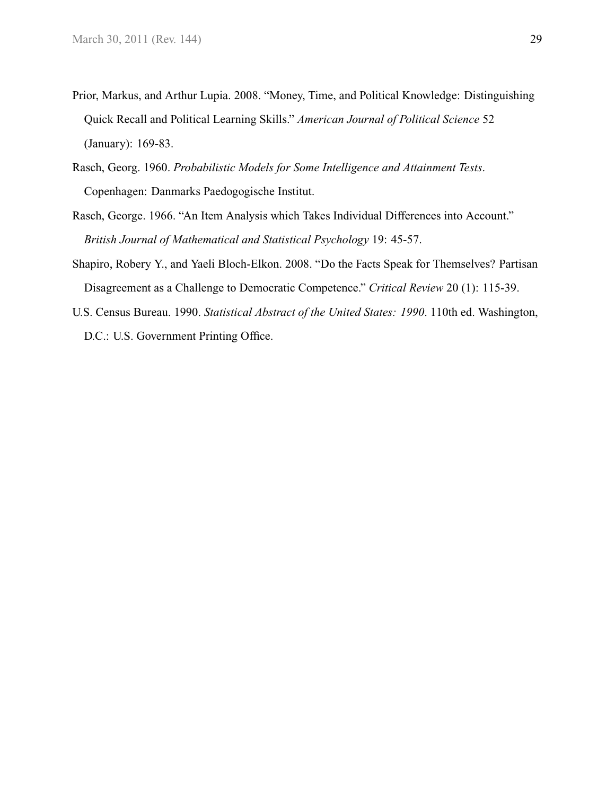- <span id="page-28-4"></span>Prior, Markus, and Arthur Lupia. 2008. "Money, Time, and Political Knowledge: Distinguishing Quick Recall and Political Learning Skills." *American Journal of Political Science* 52 (January): 169-83.
- <span id="page-28-0"></span>Rasch, Georg. 1960. *Probabilistic Models for Some Intelligence and Attainment Tests*. Copenhagen: Danmarks Paedogogische Institut.
- <span id="page-28-1"></span>Rasch, George. 1966. "An Item Analysis which Takes Individual Differences into Account." *British Journal of Mathematical and Statistical Psychology* 19: 45-57.
- <span id="page-28-3"></span>Shapiro, Robery Y., and Yaeli Bloch-Elkon. 2008. "Do the Facts Speak for Themselves? Partisan Disagreement as a Challenge to Democratic Competence." *Critical Review* 20 (1): 115-39.
- <span id="page-28-2"></span>U.S. Census Bureau. 1990. *Statistical Abstract of the United States: 1990*. 110th ed. Washington, D.C.: U.S. Government Printing Office.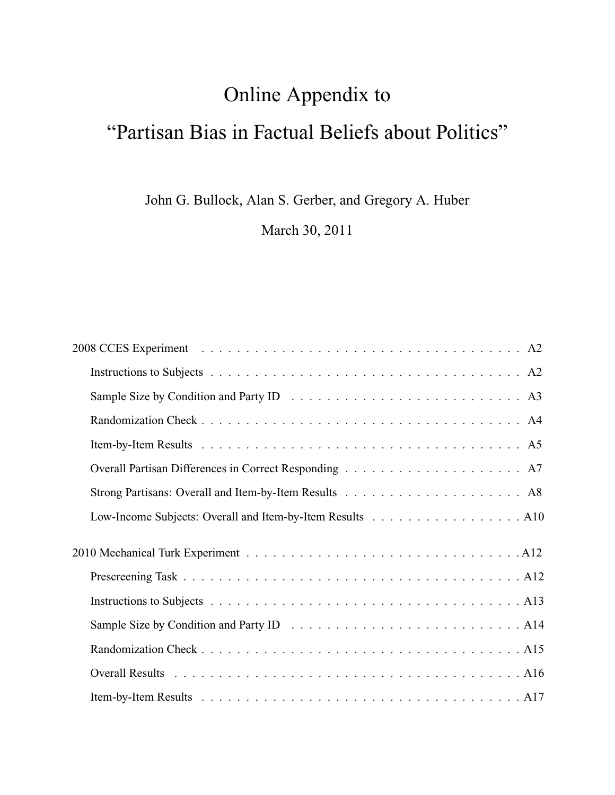# Online Appendix to "Partisan Bias in Factual Beliefs about Politics"

John G. Bullock, Alan S. Gerber, and Gregory A. Huber

March 30, 2011

| Low-Income Subjects: Overall and Item-by-Item Results A10 |
|-----------------------------------------------------------|
|                                                           |
|                                                           |
|                                                           |
|                                                           |
|                                                           |
|                                                           |
|                                                           |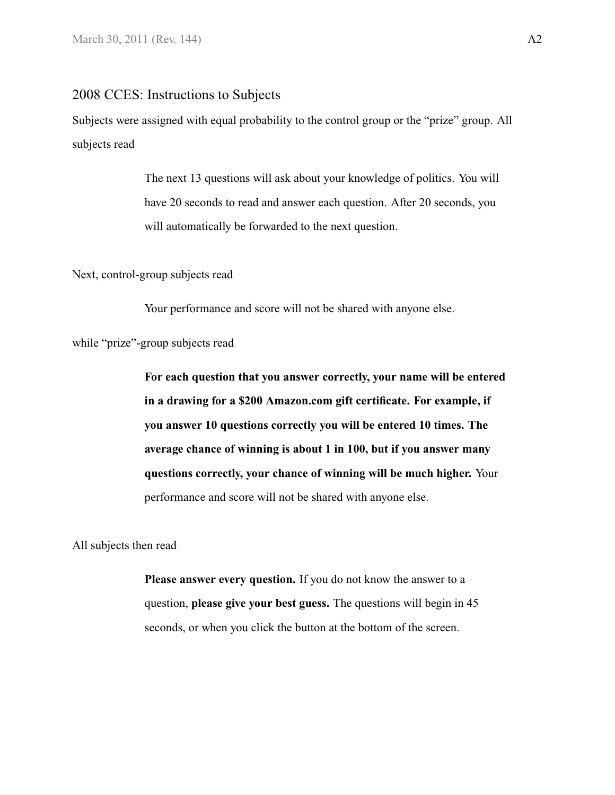#### <span id="page-30-1"></span><span id="page-30-0"></span>2008 CCES: Instructions to Subjects

Subjects were assigned with equal probability to the control group or the "prize" group. All subjects read

> The next 13 questions will ask about your knowledge of politics. You will have 20 seconds to read and answer each question. After 20 seconds, you will automatically be forwarded to the next question.

Next, control-group subjects read

Your performance and score will not be shared with anyone else.

while "prize"-group subjects read

**For each question that you answer correctly, your name will be entered in a drawing for a \$200 Amazon.com gift certificate. For example, if you answer 10 questions correctly you will be entered 10 times. The average chance of winning is about 1 in 100, but if you answer many questions correctly, your chance of winning will be much higher.** Your performance and score will not be shared with anyone else.

All subjects then read

**Please answer every question.** If you do not know the answer to a question, **please give your best guess.** The questions will begin in 45 seconds, or when you click the button at the bottom of the screen.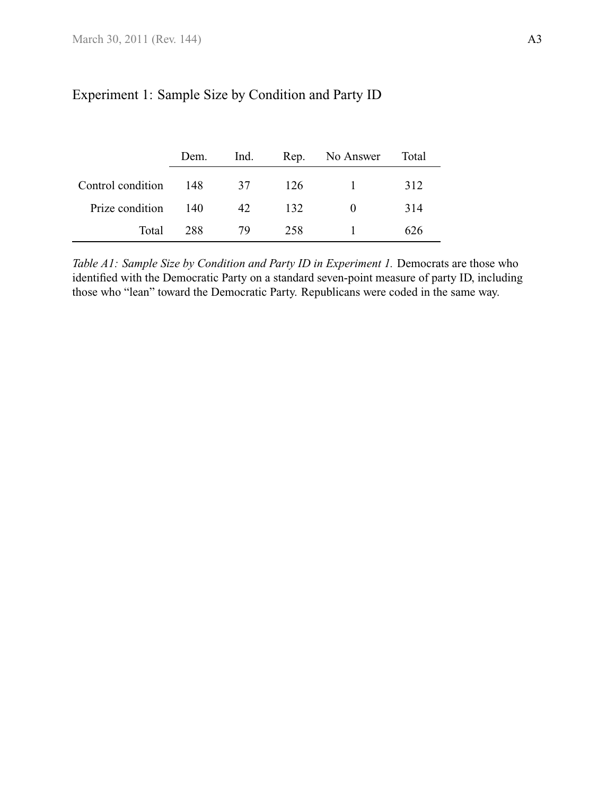|                       | Dem.  | Ind. |      | Rep. No Answer Total |     |
|-----------------------|-------|------|------|----------------------|-----|
| Control condition 148 |       | 37   | -126 | $\sim$ 1 $\sim$      | 312 |
| Prize condition       | - 140 | 42.  | 132  | $\theta$             | 314 |
| Total                 | 288   | 79   | 258  |                      | 626 |

# <span id="page-31-0"></span>Experiment 1: Sample Size by Condition and Party ID

*Table A1: Sample Size by Condition and Party ID in Experiment 1.* Democrats are those who identified with the Democratic Party on a standard seven-point measure of party ID, including those who "lean" toward the Democratic Party. Republicans were coded in the same way.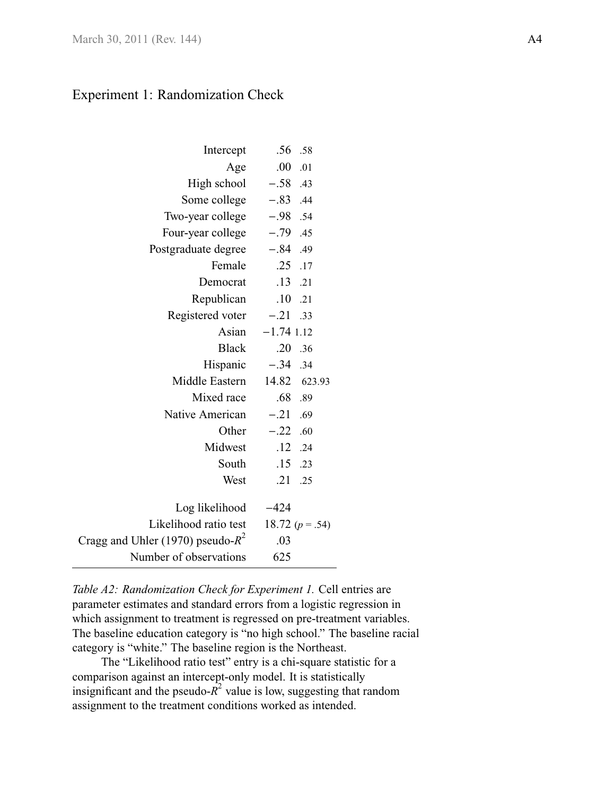# <span id="page-32-1"></span>Experiment 1: Randomization Check

<span id="page-32-0"></span>

| Intercept                            | .56             | .58             |
|--------------------------------------|-----------------|-----------------|
| Age                                  | .00             | .01             |
| High school                          | $-.58$ .43      |                 |
| Some college                         | $-.83$ .44      |                 |
| Two-year college $-.98$ .54          |                 |                 |
| Four-year college                    | $-.79$ .45      |                 |
| Postgraduate degree                  | $-.84$ .49      |                 |
| Female                               | $.25$ .17       |                 |
| Democrat                             | $.13$ .21       |                 |
| Republican                           | $\overline{10}$ | .21             |
| Registered voter $-.21$              |                 | .33             |
| Asian                                | $-1.74$ 1.12    |                 |
| Black                                | .20             | .36             |
| Hispanic $-.34$ .34                  |                 |                 |
| Middle Eastern                       | 14.82 623.93    |                 |
| Mixed race                           | .68 .89         |                 |
| Native American                      | $-.21$ .69      |                 |
| Other                                | $-.22$ .60      |                 |
| Midwest                              | $.12$ $.24$     |                 |
| South                                | .15             | .23             |
| West                                 | .21             | .25             |
|                                      |                 |                 |
| Log likelihood                       | $-424$          |                 |
| Likelihood ratio test                |                 | 18.72 $(p=.54)$ |
| Cragg and Uhler (1970) pseudo- $R^2$ | .03             |                 |
| Number of observations               | 625             |                 |

*Table A2: Randomization Check for Experiment 1.* Cell entries are parameter estimates and standard errors from a logistic regression in which assignment to treatment is regressed on pre-treatment variables. The baseline education category is "no high school." The baseline racial category is "white." The baseline region is the Northeast.

The "Likelihood ratio test" entry is a chi-square statistic for a comparison against an intercept-only model. It is statistically insignificant and the pseudo- $\overline{R}^2$  value is low, suggesting that random assignment to the treatment conditions worked as intended.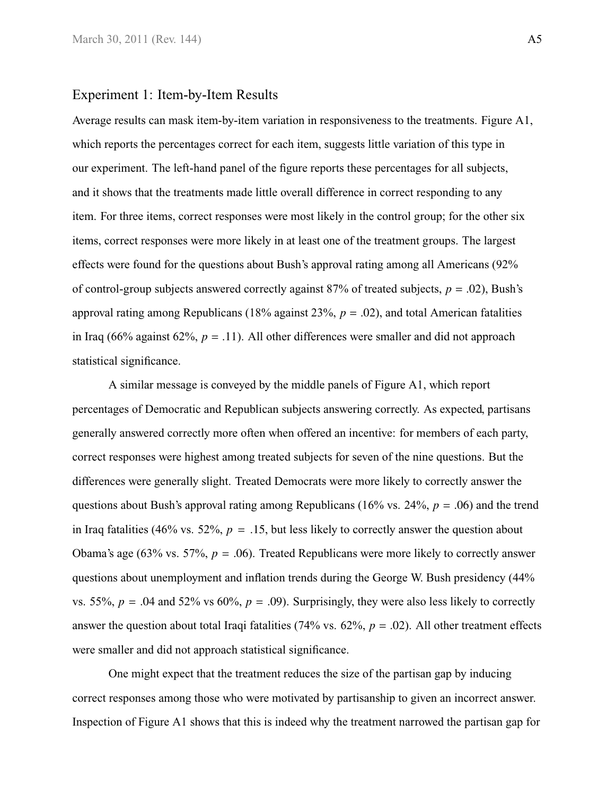#### <span id="page-33-0"></span>Experiment 1: Item-by-Item Results

Average results can mask item-by-item variation in responsiveness to the treatments. [Figure A1,](#page-34-0) which reports the percentages correct for each item, suggests little variation of this type in our experiment. The left-hand panel of the figure reports these percentages for all subjects, and it shows that the treatments made little overall difference in correct responding to any item. For three items, correct responses were most likely in the control group; for the other six items, correct responses were more likely in at least one of the treatment groups. The largest effects were found for the questions about Bush's approval rating among all Americans (92% of control-group subjects answered correctly against  $87%$  of treated subjects,  $p = .02$ ), Bush's approval rating among Republicans (18% against 23%, *<sup>p</sup>* <sup>=</sup> .02), and total American fatalities in Iraq (66% against 62%,  $p = .11$ ). All other differences were smaller and did not approach statistical significance.

A similar message is conveyed by the middle panels of [Figure A1,](#page-34-0) which report percentages of Democratic and Republican subjects answering correctly. As expected, partisans generally answered correctly more often when offered an incentive: for members of each party, correct responses were highest among treated subjects for seven of the nine questions. But the differences were generally slight. Treated Democrats were more likely to correctly answer the questions about Bush's approval rating among Republicans (16% vs. 24%, *<sup>p</sup>* <sup>=</sup> .06) and the trend in Iraq fatalities (46% vs. 52%,  $p = .15$ , but less likely to correctly answer the question about Obama's age (63% vs. 57%,  $p = .06$ ). Treated Republicans were more likely to correctly answer questions about unemployment and inflation trends during the George W. Bush presidency (44% vs. 55%,  $p = .04$  and 52% vs 60%,  $p = .09$ ). Surprisingly, they were also less likely to correctly answer the question about total Iraqi fatalities (74% vs.  $62\%$ ,  $p = .02$ ). All other treatment effects were smaller and did not approach statistical significance.

One might expect that the treatment reduces the size of the partisan gap by inducing correct responses among those who were motivated by partisanship to given an incorrect answer. Inspection of [Figure A1](#page-34-0) shows that this is indeed why the treatment narrowed the partisan gap for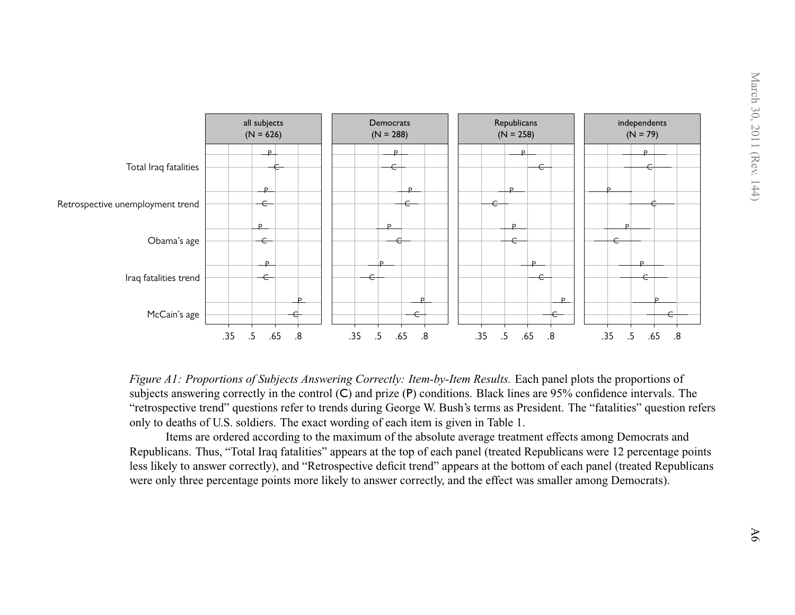

Figure A1: Proportions of Subjects Answering Correctly: Item-by-Item Results. Each panel plots the proportions of subjects answering correctly in the control (C) and prize (P) conditions. Black lines are 95% confidence intervals. The "retrospective trend" questions refer to trends during George W. Bush's terms as President. The "fatalities" question refersonly to deaths of U.S. soldiers. The exact wording of each item is given in [Table](#page-9-1) 1.

<span id="page-34-0"></span>Items are ordered according to the maximum of the absolute average treatment effects among Democrats and Republicans. Thus, "Total Iraq fatalities" appears at the top of each panel (treated Republicans were 12 percentage points less likely to answer correctly), and "Retrospective deficit trend" appears at the bottom of each panel (treated Republicanswere only three percentage points more likely to answer correctly, and the effect was smaller among Democrats).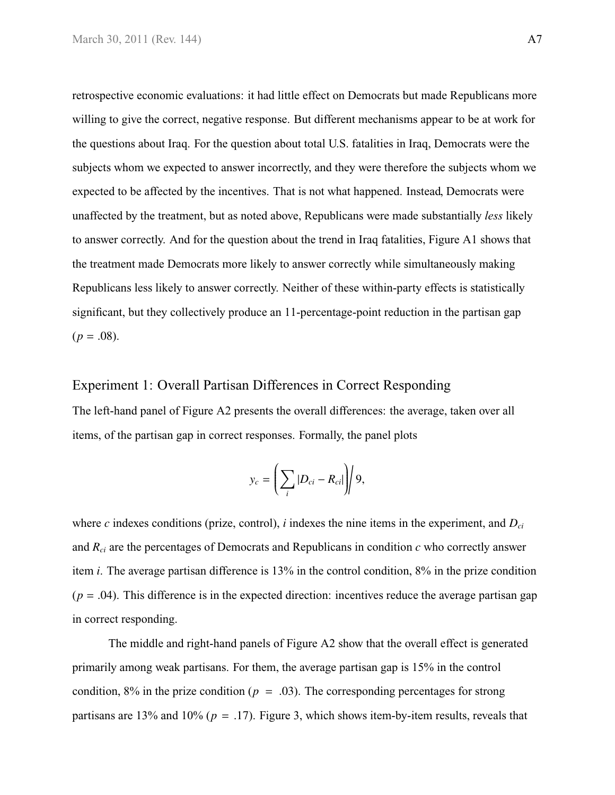retrospective economic evaluations: it had little effect on Democrats but made Republicans more willing to give the correct, negative response. But different mechanisms appear to be at work for the questions about Iraq. For the question about total U.S. fatalities in Iraq, Democrats were the subjects whom we expected to answer incorrectly, and they were therefore the subjects whom we expected to be affected by the incentives. That is not what happened. Instead, Democrats were unaffected by the treatment, but as noted above, Republicans were made substantially *less* likely to answer correctly. And for the question about the trend in Iraq fatalities, [Figure A1](#page-34-0) shows that the treatment made Democrats more likely to answer correctly while simultaneously making Republicans less likely to answer correctly. Neither of these within-party effects is statistically significant, but they collectively produce an 11-percentage-point reduction in the partisan gap  $(p=.08).$ 

#### <span id="page-35-0"></span>Experiment 1: Overall Partisan Differences in Correct Responding

The left-hand panel of [Figure A2](#page-36-1) presents the overall differences: the average, taken over all items, of the partisan gap in correct responses. Formally, the panel plots

$$
y_c = \left(\sum_i |D_{ci} - R_{ci}|\right)/9,
$$

where *c* indexes conditions (prize, control), *i* indexes the nine items in the experiment, and *Dci* and *Rci* are the percentages of Democrats and Republicans in condition *c* who correctly answer item *i*. The average partisan difference is 13% in the control condition, 8% in the prize condition  $(p = .04)$ . This difference is in the expected direction: incentives reduce the average partisan gap in correct responding.

The middle and right-hand panels of [Figure A2](#page-36-1) show that the overall effect is generated primarily among weak partisans. For them, the average partisan gap is 15% in the control condition, 8% in the prize condition ( $p = .03$ ). The corresponding percentages for strong partisans are 13% and 10% ( $p = .17$ ). [Figure 3,](#page-13-0) which shows item-by-item results, reveals that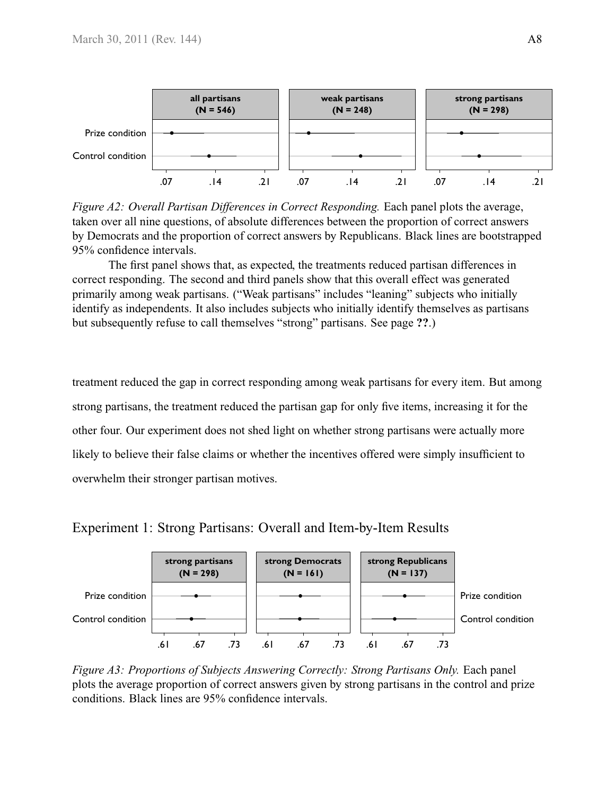<span id="page-36-1"></span>

*Figure A2: Overall Partisan Differences in Correct Responding.* Each panel plots the average, taken over all nine questions, of absolute differences between the proportion of correct answers by Democrats and the proportion of correct answers by Republicans. Black lines are bootstrapped 95% confidence intervals.

The first panel shows that, as expected, the treatments reduced partisan differences in correct responding. The second and third panels show that this overall effect was generated primarily among weak partisans. ("Weak partisans" includes "leaning" subjects who initially identify as independents. It also includes subjects who initially identify themselves as partisans but subsequently refuse to call themselves "strong" partisans. See [page](#page-0-0) **??**.)

treatment reduced the gap in correct responding among weak partisans for every item. But among strong partisans, the treatment reduced the partisan gap for only five items, increasing it for the other four. Our experiment does not shed light on whether strong partisans were actually more likely to believe their false claims or whether the incentives offered were simply insufficient to overwhelm their stronger partisan motives.

<span id="page-36-0"></span>Experiment 1: Strong Partisans: Overall and Item-by-Item Results



*Figure A3: Proportions of Subjects Answering Correctly: Strong Partisans Only.* Each panel plots the average proportion of correct answers given by strong partisans in the control and prize conditions. Black lines are 95% confidence intervals.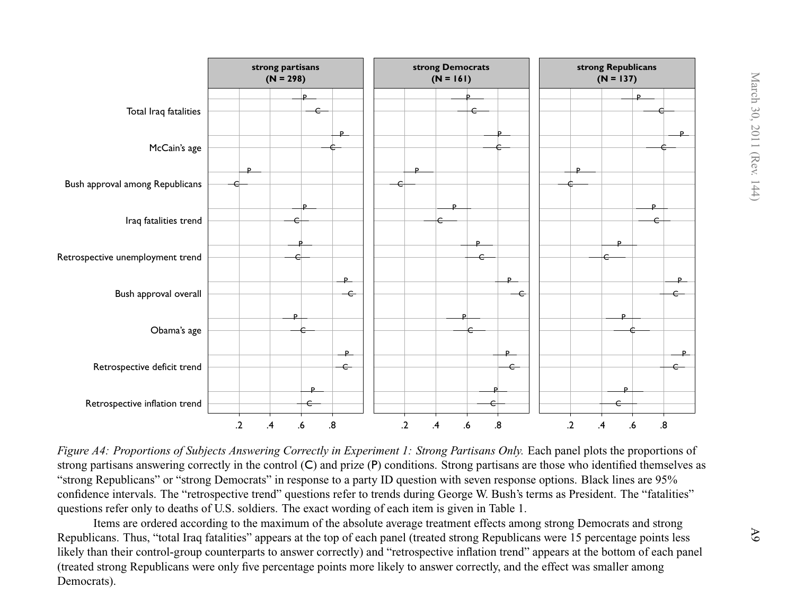

Figure A4: Proportions of Subjects Answering Correctly in Experiment 1: Strong Partisans Only. Each panel plots the proportions of strong partisans answering correctly in the control (C) and prize (P) conditions. Strong partisans are those who identified themselves as"strong Republicans" or "strong Democrats" in response to <sup>a</sup> party ID question with seven response options. Black lines are 95% confidence intervals. The "retrospective trend" questions refer to trends during George W. Bush's terms as President. The "fatalities"questions refer only to deaths of U.S. soldiers. The exact wording of each item is given in [Table](#page-9-1) 1.

Items are ordered according to the maximum of the absolute average treatment effects among strong Democrats and strong Republicans. Thus, "total Iraq fatalities" appears at the top of each panel (treated strong Republicans were 15 percentage points less likely than their control-group counterparts to answer correctly) and "retrospective inflation trend" appears at the bottom of each panel(treated strong Republicans were only five percentage points more likely to answer correctly, and the effect was smaller amongDemocrats).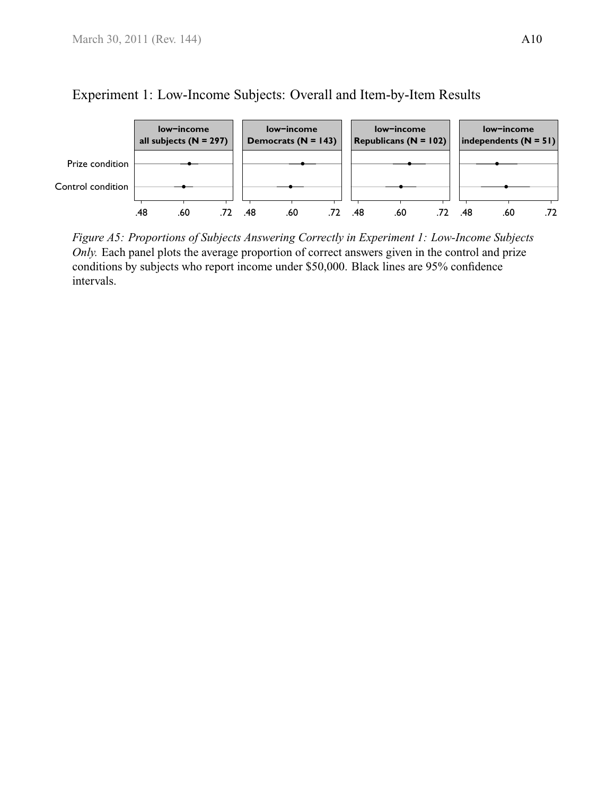

# <span id="page-38-0"></span>Experiment 1: Low-Income Subjects: Overall and Item-by-Item Results

*Figure A5: Proportions of Subjects Answering Correctly in Experiment 1: Low-Income Subjects Only.* Each panel plots the average proportion of correct answers given in the control and prize conditions by subjects who report income under \$50,000. Black lines are 95% confidence intervals.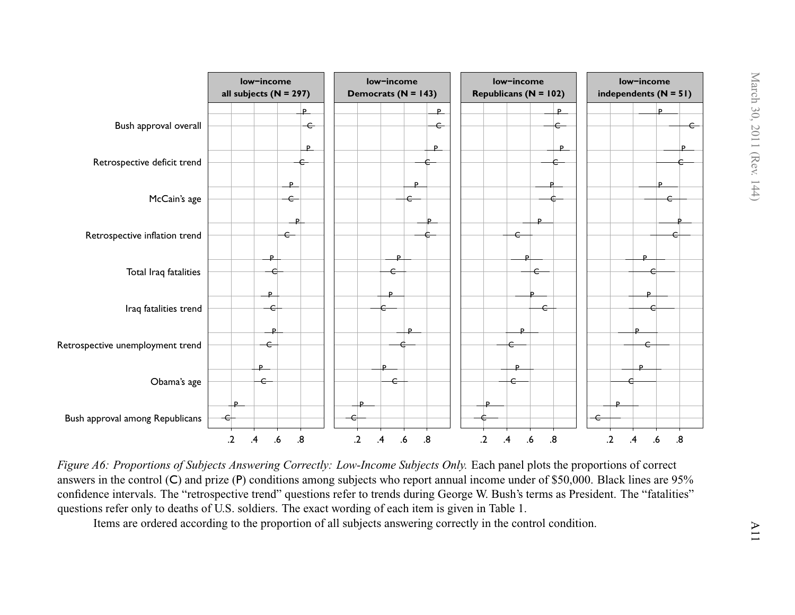

Figure A6: Proportions of Subjects Answering Correctly: Low-Income Subjects Only. Each panel plots the proportions of correct answers in the control (C) and prize (P) conditions among subjects who repor<sup>t</sup> annual income under of \$50,000. Black lines are 95% confidence intervals. The "retrospective trend" questions refer to trends during George W. Bush's terms as President. The "fatalities"questions refer only to deaths of U.S. soldiers. The exact wording of each item is given in [Table](#page-9-1) 1.

Items are ordered according to the proportion of all subjects answering correctly in the control condition.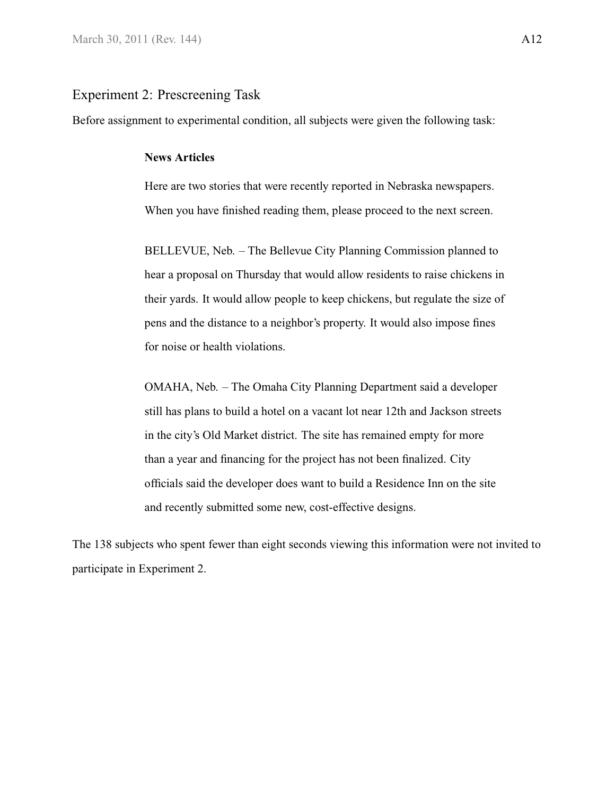## <span id="page-40-1"></span><span id="page-40-0"></span>Experiment 2: Prescreening Task

Before assignment to experimental condition, all subjects were given the following task:

#### **News Articles**

Here are two stories that were recently reported in Nebraska newspapers. When you have finished reading them, please proceed to the next screen.

BELLEVUE, Neb. – The Bellevue City Planning Commission planned to hear a proposal on Thursday that would allow residents to raise chickens in their yards. It would allow people to keep chickens, but regulate the size of pens and the distance to a neighbor's property. It would also impose fines for noise or health violations.

OMAHA, Neb. – The Omaha City Planning Department said a developer still has plans to build a hotel on a vacant lot near 12th and Jackson streets in the city's Old Market district. The site has remained empty for more than a year and financing for the project has not been finalized. City officials said the developer does want to build a Residence Inn on the site and recently submitted some new, cost-effective designs.

The 138 subjects who spent fewer than eight seconds viewing this information were not invited to participate in Experiment 2.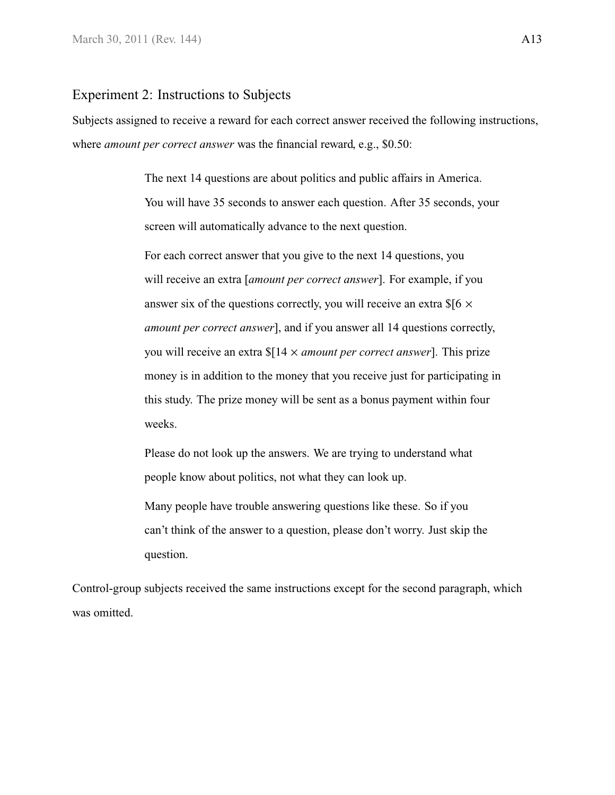#### <span id="page-41-0"></span>Experiment 2: Instructions to Subjects

Subjects assigned to receive a reward for each correct answer received the following instructions, where *amount per correct answer* was the financial reward, e.g., \$0.50:

> The next 14 questions are about politics and public affairs in America. You will have 35 seconds to answer each question. After 35 seconds, your screen will automatically advance to the next question.

> For each correct answer that you give to the next 14 questions, you will receive an extra [*amount per correct answer*]. For example, if you answer six of the questions correctly, you will receive an extra  $$$ [6  $\times$ *amount per correct answer*], and if you answer all 14 questions correctly, you will receive an extra \$[14 × *amount per correct answer*]. This prize money is in addition to the money that you receive just for participating in this study. The prize money will be sent as a bonus payment within four weeks.

Please do not look up the answers. We are trying to understand what people know about politics, not what they can look up.

Many people have trouble answering questions like these. So if you can't think of the answer to a question, please don't worry. Just skip the question.

Control-group subjects received the same instructions except for the second paragraph, which was omitted.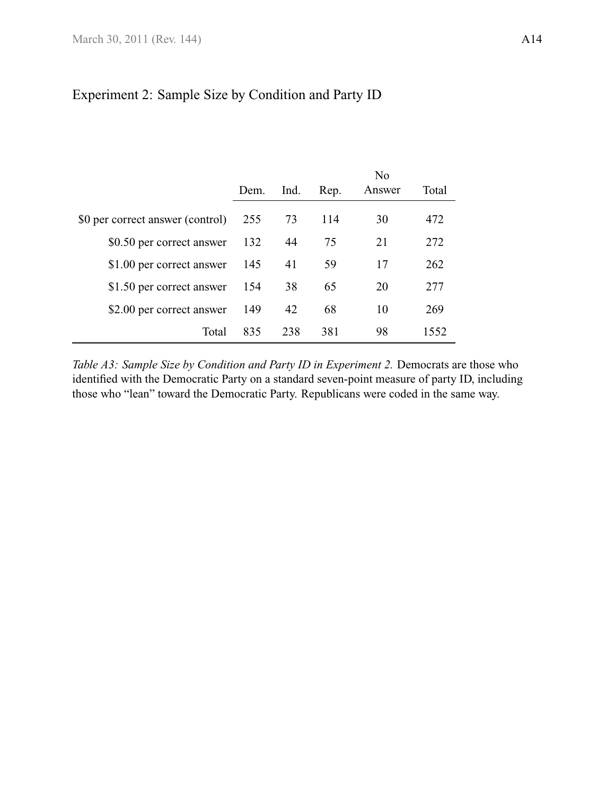# <span id="page-42-1"></span>Experiment 2: Sample Size by Condition and Party ID

<span id="page-42-0"></span>

|                                  |      |      |      | No     |       |
|----------------------------------|------|------|------|--------|-------|
|                                  | Dem. | Ind. | Rep. | Answer | Total |
| \$0 per correct answer (control) | 255  | 73   | 114  | 30     | 472   |
| \$0.50 per correct answer        | 132  | 44   | 75   | 21     | 272   |
| \$1.00 per correct answer        | 145  | 41   | 59   | 17     | 262   |
| \$1.50 per correct answer        | 154  | 38   | 65   | 20     | 277   |
| \$2.00 per correct answer        | 149  | 42   | 68   | 10     | 269   |
| Total                            | 835  | 238  | 381  | 98     | 1552  |

*Table A3: Sample Size by Condition and Party ID in Experiment 2.* Democrats are those who identified with the Democratic Party on a standard seven-point measure of party ID, including those who "lean" toward the Democratic Party. Republicans were coded in the same way.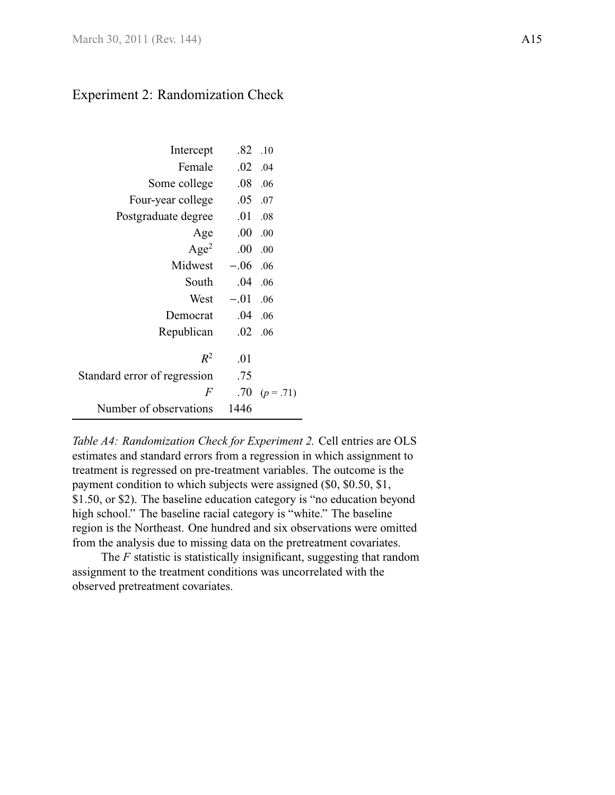# <span id="page-43-1"></span>Experiment 2: Randomization Check

<span id="page-43-0"></span>

| Intercept                    | .82     | .10           |
|------------------------------|---------|---------------|
| Female                       | .02     | .04           |
| Some college                 | $.08\,$ | .06           |
| Four-year college            | .05     | .07           |
| Postgraduate degree          | .01     | .08           |
| Age                          | .00     | .00           |
| Age <sup>2</sup>             | .00     | .00           |
| Midwest                      | $-.06$  | .06           |
| South                        | .04     | .06           |
| West                         | $-.01$  | .06           |
| Democrat                     | .04     | .06           |
| Republican                   | .02     | .06           |
|                              |         |               |
| $R^2$                        | .01     |               |
| Standard error of regression | .75     |               |
| F                            |         | .70 $(p=.71)$ |
| Number of observations       | 1446    |               |
|                              |         |               |

*Table A4: Randomization Check for Experiment 2.* Cell entries are OLS estimates and standard errors from a regression in which assignment to treatment is regressed on pre-treatment variables. The outcome is the payment condition to which subjects were assigned (\$0, \$0.50, \$1, \$1.50, or \$2). The baseline education category is "no education beyond high school." The baseline racial category is "white." The baseline region is the Northeast. One hundred and six observations were omitted from the analysis due to missing data on the pretreatment covariates.

The *F* statistic is statistically insignificant, suggesting that random assignment to the treatment conditions was uncorrelated with the observed pretreatment covariates.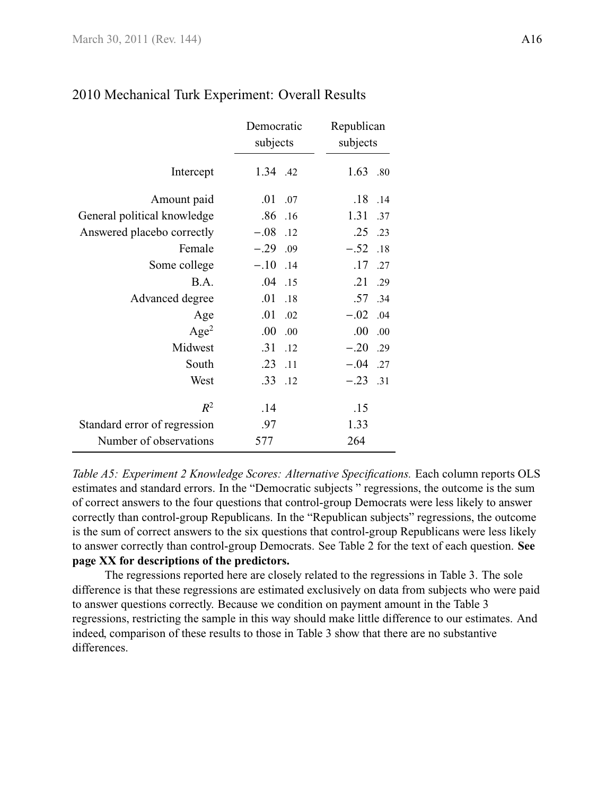|                              | Democratic<br>subjects | Republican<br>subjects |  |  |  |
|------------------------------|------------------------|------------------------|--|--|--|
| Intercept                    | 1.34 .42               | 1.63<br>.80            |  |  |  |
| Amount paid                  | .01<br>.07             | .18<br>.14             |  |  |  |
| General political knowledge  | $.86$ .16              | 1.31<br>.37            |  |  |  |
| Answered placebo correctly   | $-.08$ .12             | .25<br>.23             |  |  |  |
| Female                       | $-.29$ .09             | $-.52$<br>.18          |  |  |  |
| Some college                 | $-.10$ .14             | .17<br>.27             |  |  |  |
| B.A.                         | $.04$ .15              | .21<br>.29             |  |  |  |
| Advanced degree              | .01<br>.18             | .57<br>.34             |  |  |  |
| Age                          | .01<br>.02             | $-.02$ .04             |  |  |  |
| Age <sup>2</sup>             | .00.<br>.00            | .00.<br>.00            |  |  |  |
| Midwest                      | .31<br>.12             | $-.20$ .29             |  |  |  |
| South                        | .23<br>$\overline{11}$ | $-.04$ .27             |  |  |  |
| West                         | $.33$ .12              | $-.23$ .31             |  |  |  |
| $R^2$                        | .14                    | .15                    |  |  |  |
| Standard error of regression | .97                    | 1.33                   |  |  |  |
| Number of observations       | 577                    | 264                    |  |  |  |

# <span id="page-44-0"></span>2010 Mechanical Turk Experiment: Overall Results

*Table A5: Experiment 2 Knowledge Scores: Alternative Specifications.* Each column reports OLS estimates and standard errors. In the "Democratic subjects " regressions, the outcome is the sum of correct answers to the four questions that control-group Democrats were less likely to answer correctly than control-group Republicans. In the "Republican subjects" regressions, the outcome is the sum of correct answers to the six questions that control-group Republicans were less likely to answer correctly than control-group Democrats. See [Table 2](#page-16-0) for the text of each question. **See page XX for descriptions of the predictors.**

The regressions reported here are closely related to the regressions in [Table 3.](#page-21-0) The sole difference is that these regressions are estimated exclusively on data from subjects who were paid to answer questions correctly. Because we condition on payment amount in the [Table 3](#page-21-0) regressions, restricting the sample in this way should make little difference to our estimates. And indeed, comparison of these results to those in [Table 3](#page-21-0) show that there are no substantive differences.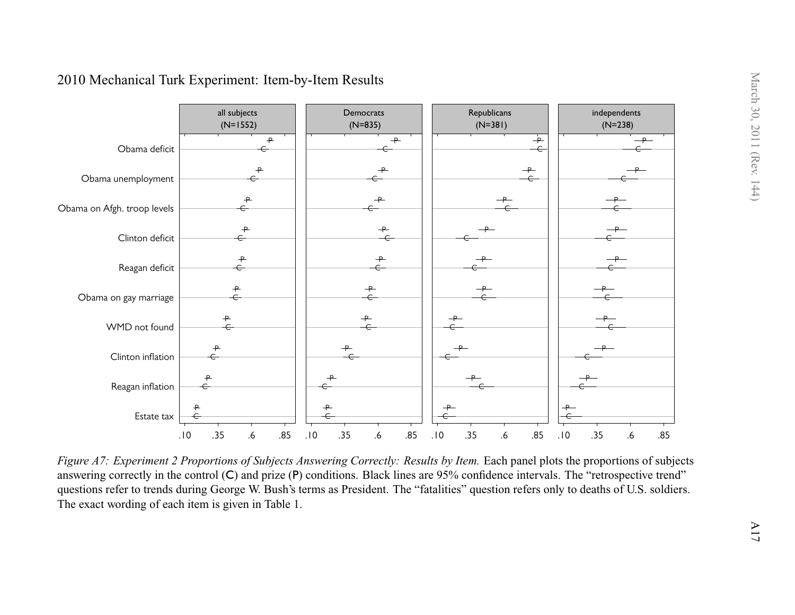<span id="page-45-0"></span>

Figure A7: Experiment 2 Proportions of Subjects Answering Correctly: Results by Item. Each panel plots the proportions of subjects answering correctly in the control (C) and prize (P) conditions. Black lines are 95% confidence intervals. The "retrospective trend" questions refer to trends during George W. Bush's terms as President. The "fatalities" question refers only to deaths of U.S. soldiers.The exact wording of each item is given in [Table](#page-9-1) 1.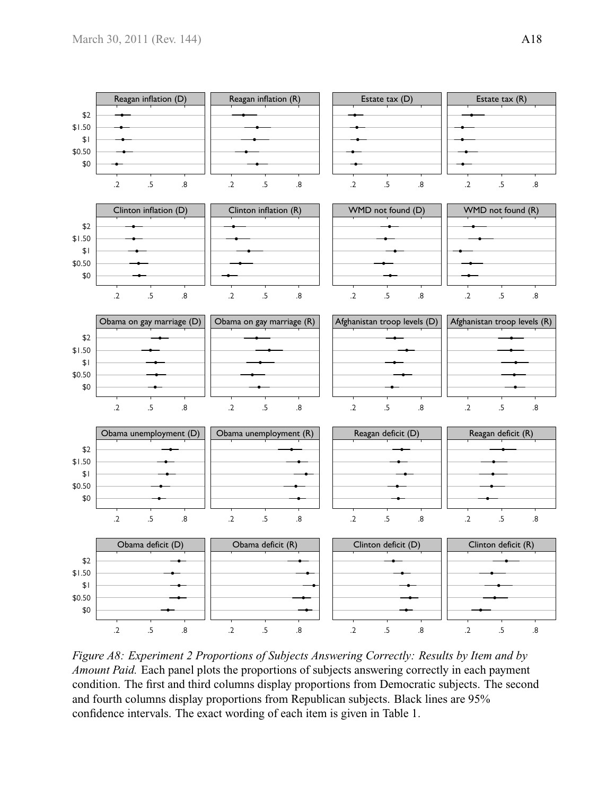

*Figure A8: Experiment 2 Proportions of Subjects Answering Correctly: Results by Item and by Amount Paid.* Each panel plots the proportions of subjects answering correctly in each payment condition. The first and third columns display proportions from Democratic subjects. The second and fourth columns display proportions from Republican subjects. Black lines are 95% confidence intervals. The exact wording of each item is given in [Table 1.](#page-9-0)